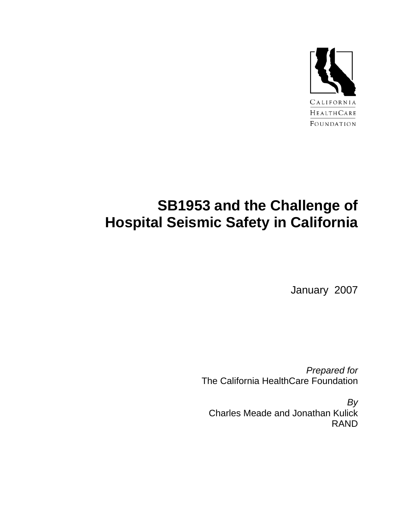

# **SB1953 and the Challenge of Hospital Seismic Safety in California**

January 2007

*Prepared for*  The California HealthCare Foundation

*By*  Charles Meade and Jonathan Kulick RAND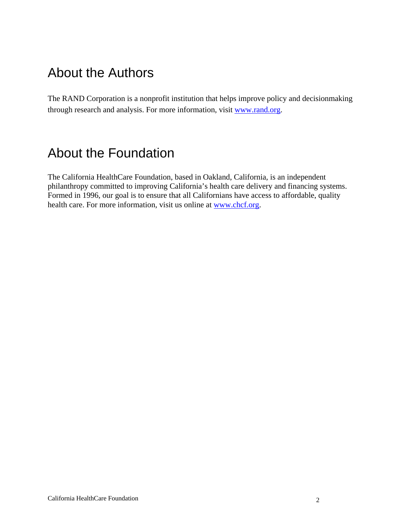## About the Authors

The RAND Corporation is a nonprofit institution that helps improve policy and decisionmaking through research and analysis. For more information, visit www.rand.org.

### About the Foundation

The California HealthCare Foundation, based in Oakland, California, is an independent philanthropy committed to improving California's health care delivery and financing systems. Formed in 1996, our goal is to ensure that all Californians have access to affordable, quality health care. For more information, visit us online at www.chcf.org.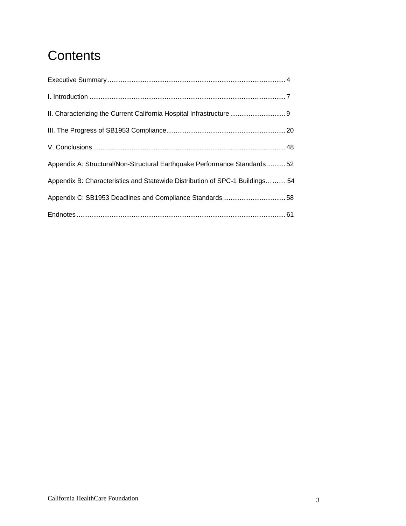# **Contents**

| II. Characterizing the Current California Hospital Infrastructure  9         |  |
|------------------------------------------------------------------------------|--|
|                                                                              |  |
|                                                                              |  |
| Appendix A: Structural/Non-Structural Earthquake Performance Standards  52   |  |
| Appendix B: Characteristics and Statewide Distribution of SPC-1 Buildings 54 |  |
|                                                                              |  |
|                                                                              |  |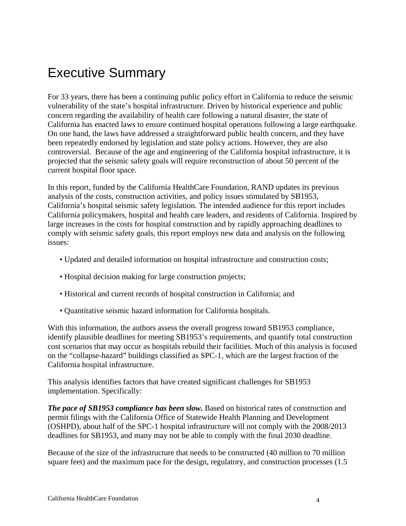## Executive Summary

For 33 years, there has been a continuing public policy effort in California to reduce the seismic vulnerability of the state's hospital infrastructure. Driven by historical experience and public concern regarding the availability of health care following a natural disaster, the state of California has enacted laws to ensure continued hospital operations following a large earthquake. On one hand, the laws have addressed a straightforward public health concern, and they have been repeatedly endorsed by legislation and state policy actions. However, they are also controversial. Because of the age and engineering of the California hospital infrastructure, it is projected that the seismic safety goals will require reconstruction of about 50 percent of the current hospital floor space.

In this report, funded by the California HealthCare Foundation, RAND updates its previous analysis of the costs, construction activities, and policy issues stimulated by SB1953, California's hospital seismic safety legislation. The intended audience for this report includes California policymakers, hospital and health care leaders, and residents of California. Inspired by large increases in the costs for hospital construction and by rapidly approaching deadlines to comply with seismic safety goals, this report employs new data and analysis on the following issues:

- Updated and detailed information on hospital infrastructure and construction costs;
- Hospital decision making for large construction projects;
- Historical and current records of hospital construction in California; and
- Quantitative seismic hazard information for California hospitals.

With this information, the authors assess the overall progress toward SB1953 compliance, identify plausible deadlines for meeting SB1953's requirements, and quantify total construction cost scenarios that may occur as hospitals rebuild their facilities. Much of this analysis is focused on the "collapse-hazard" buildings classified as SPC-1, which are the largest fraction of the California hospital infrastructure.

This analysis identifies factors that have created significant challenges for SB1953 implementation. Specifically:

*The pace of SB1953 compliance has been slow.* Based on historical rates of construction and permit filings with the California Office of Statewide Health Planning and Development (OSHPD), about half of the SPC-1 hospital infrastructure will not comply with the 2008/2013 deadlines for SB1953, and many may not be able to comply with the final 2030 deadline.

Because of the size of the infrastructure that needs to be constructed (40 million to 70 million square feet) and the maximum pace for the design, regulatory, and construction processes (1.5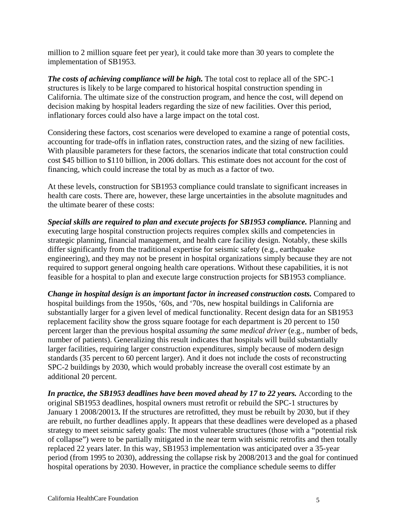million to 2 million square feet per year), it could take more than 30 years to complete the implementation of SB1953.

*The costs of achieving compliance will be high.* The total cost to replace all of the SPC-1 structures is likely to be large compared to historical hospital construction spending in California. The ultimate size of the construction program, and hence the cost, will depend on decision making by hospital leaders regarding the size of new facilities. Over this period, inflationary forces could also have a large impact on the total cost.

Considering these factors, cost scenarios were developed to examine a range of potential costs, accounting for trade-offs in inflation rates, construction rates, and the sizing of new facilities. With plausible parameters for these factors, the scenarios indicate that total construction could cost \$45 billion to \$110 billion, in 2006 dollars. This estimate does not account for the cost of financing, which could increase the total by as much as a factor of two.

At these levels, construction for SB1953 compliance could translate to significant increases in health care costs. There are, however, these large uncertainties in the absolute magnitudes and the ultimate bearer of these costs:

*Special skills are required to plan and execute projects for SB1953 compliance.* Planning and executing large hospital construction projects requires complex skills and competencies in strategic planning, financial management, and health care facility design. Notably, these skills differ significantly from the traditional expertise for seismic safety (e.g., earthquake engineering), and they may not be present in hospital organizations simply because they are not required to support general ongoing health care operations. Without these capabilities, it is not feasible for a hospital to plan and execute large construction projects for SB1953 compliance.

*Change in hospital design is an important factor in increased construction costs.* Compared to hospital buildings from the 1950s, '60s, and '70s, new hospital buildings in California are substantially larger for a given level of medical functionality. Recent design data for an SB1953 replacement facility show the gross square footage for each department is 20 percent to 150 percent larger than the previous hospital *assuming the same medical driver* (e.g., number of beds, number of patients). Generalizing this result indicates that hospitals will build substantially larger facilities, requiring larger construction expenditures, simply because of modern design standards (35 percent to 60 percent larger). And it does not include the costs of reconstructing SPC-2 buildings by 2030, which would probably increase the overall cost estimate by an additional 20 percent.

*In practice, the SB1953 deadlines have been moved ahead by 17 to 22 years.* According to the original SB1953 deadlines, hospital owners must retrofit or rebuild the SPC-1 structures by January 1 2008/20013**.** If the structures are retrofitted, they must be rebuilt by 2030, but if they are rebuilt, no further deadlines apply. It appears that these deadlines were developed as a phased strategy to meet seismic safety goals: The most vulnerable structures (those with a "potential risk of collapse") were to be partially mitigated in the near term with seismic retrofits and then totally replaced 22 years later. In this way, SB1953 implementation was anticipated over a 35-year period (from 1995 to 2030), addressing the collapse risk by 2008/2013 and the goal for continued hospital operations by 2030. However, in practice the compliance schedule seems to differ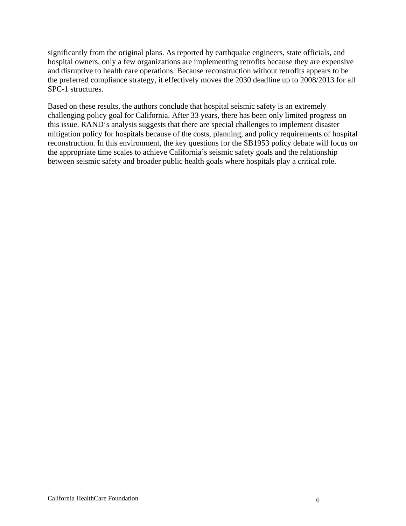significantly from the original plans. As reported by earthquake engineers, state officials, and hospital owners, only a few organizations are implementing retrofits because they are expensive and disruptive to health care operations. Because reconstruction without retrofits appears to be the preferred compliance strategy, it effectively moves the 2030 deadline up to 2008/2013 for all SPC-1 structures.

Based on these results, the authors conclude that hospital seismic safety is an extremely challenging policy goal for California. After 33 years, there has been only limited progress on this issue. RAND's analysis suggests that there are special challenges to implement disaster mitigation policy for hospitals because of the costs, planning, and policy requirements of hospital reconstruction. In this environment, the key questions for the SB1953 policy debate will focus on the appropriate time scales to achieve California's seismic safety goals and the relationship between seismic safety and broader public health goals where hospitals play a critical role.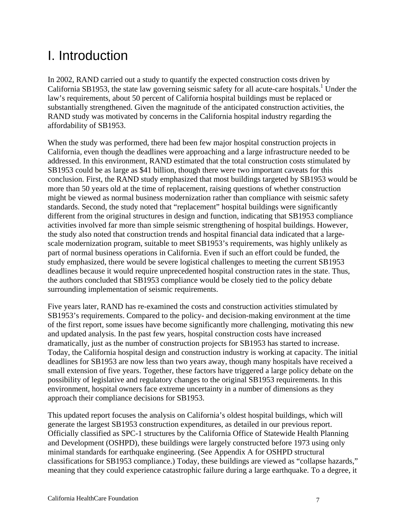# I. Introduction

In 2002, RAND carried out a study to quantify the expected construction costs driven by California SB1953, the state law governing seismic safety for all acute-care hospitals.<sup>1</sup> Under the law's requirements, about 50 percent of California hospital buildings must be replaced or substantially strengthened. Given the magnitude of the anticipated construction activities, the RAND study was motivated by concerns in the California hospital industry regarding the affordability of SB1953.

When the study was performed, there had been few major hospital construction projects in California, even though the deadlines were approaching and a large infrastructure needed to be addressed. In this environment, RAND estimated that the total construction costs stimulated by SB1953 could be as large as \$41 billion, though there were two important caveats for this conclusion. First, the RAND study emphasized that most buildings targeted by SB1953 would be more than 50 years old at the time of replacement, raising questions of whether construction might be viewed as normal business modernization rather than compliance with seismic safety standards. Second, the study noted that "replacement" hospital buildings were significantly different from the original structures in design and function, indicating that SB1953 compliance activities involved far more than simple seismic strengthening of hospital buildings. However, the study also noted that construction trends and hospital financial data indicated that a largescale modernization program, suitable to meet SB1953's requirements, was highly unlikely as part of normal business operations in California. Even if such an effort could be funded, the study emphasized, there would be severe logistical challenges to meeting the current SB1953 deadlines because it would require unprecedented hospital construction rates in the state. Thus, the authors concluded that SB1953 compliance would be closely tied to the policy debate surrounding implementation of seismic requirements.

Five years later, RAND has re-examined the costs and construction activities stimulated by SB1953's requirements. Compared to the policy- and decision-making environment at the time of the first report, some issues have become significantly more challenging, motivating this new and updated analysis. In the past few years, hospital construction costs have increased dramatically, just as the number of construction projects for SB1953 has started to increase. Today, the California hospital design and construction industry is working at capacity. The initial deadlines for SB1953 are now less than two years away, though many hospitals have received a small extension of five years. Together, these factors have triggered a large policy debate on the possibility of legislative and regulatory changes to the original SB1953 requirements. In this environment, hospital owners face extreme uncertainty in a number of dimensions as they approach their compliance decisions for SB1953.

This updated report focuses the analysis on California's oldest hospital buildings, which will generate the largest SB1953 construction expenditures, as detailed in our previous report. Officially classified as SPC-1 structures by the California Office of Statewide Health Planning and Development (OSHPD), these buildings were largely constructed before 1973 using only minimal standards for earthquake engineering. (See Appendix A for OSHPD structural classifications for SB1953 compliance.) Today, these buildings are viewed as "collapse hazards," meaning that they could experience catastrophic failure during a large earthquake. To a degree, it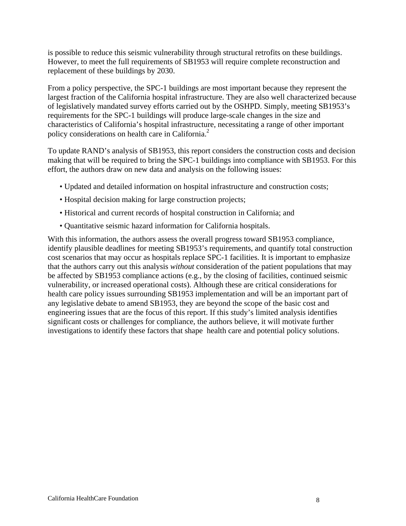is possible to reduce this seismic vulnerability through structural retrofits on these buildings. However, to meet the full requirements of SB1953 will require complete reconstruction and replacement of these buildings by 2030.

From a policy perspective, the SPC-1 buildings are most important because they represent the largest fraction of the California hospital infrastructure. They are also well characterized because of legislatively mandated survey efforts carried out by the OSHPD. Simply, meeting SB1953's requirements for the SPC-1 buildings will produce large-scale changes in the size and characteristics of California's hospital infrastructure, necessitating a range of other important policy considerations on health care in California.<sup>2</sup>

To update RAND's analysis of SB1953, this report considers the construction costs and decision making that will be required to bring the SPC-1 buildings into compliance with SB1953. For this effort, the authors draw on new data and analysis on the following issues:

- Updated and detailed information on hospital infrastructure and construction costs;
- Hospital decision making for large construction projects;
- Historical and current records of hospital construction in California; and
- Quantitative seismic hazard information for California hospitals.

With this information, the authors assess the overall progress toward SB1953 compliance, identify plausible deadlines for meeting SB1953's requirements, and quantify total construction cost scenarios that may occur as hospitals replace SPC-1 facilities. It is important to emphasize that the authors carry out this analysis *without* consideration of the patient populations that may be affected by SB1953 compliance actions (e.g., by the closing of facilities, continued seismic vulnerability, or increased operational costs). Although these are critical considerations for health care policy issues surrounding SB1953 implementation and will be an important part of any legislative debate to amend SB1953, they are beyond the scope of the basic cost and engineering issues that are the focus of this report. If this study's limited analysis identifies significant costs or challenges for compliance, the authors believe, it will motivate further investigations to identify these factors that shape health care and potential policy solutions.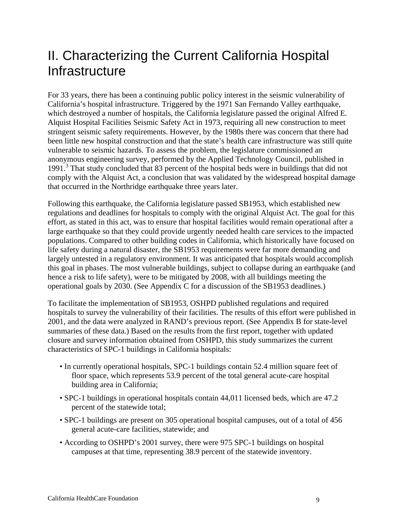## II. Characterizing the Current California Hospital **Infrastructure**

For 33 years, there has been a continuing public policy interest in the seismic vulnerability of California's hospital infrastructure. Triggered by the 1971 San Fernando Valley earthquake, which destroyed a number of hospitals, the California legislature passed the original Alfred E. Alquist Hospital Facilities Seismic Safety Act in 1973, requiring all new construction to meet stringent seismic safety requirements. However, by the 1980s there was concern that there had been little new hospital construction and that the state's health care infrastructure was still quite vulnerable to seismic hazards. To assess the problem, the legislature commissioned an anonymous engineering survey, performed by the Applied Technology Council, published in 1991.3 That study concluded that 83 percent of the hospital beds were in buildings that did not comply with the Alquist Act, a conclusion that was validated by the widespread hospital damage that occurred in the Northridge earthquake three years later.

Following this earthquake, the California legislature passed SB1953, which established new regulations and deadlines for hospitals to comply with the original Alquist Act. The goal for this effort, as stated in this act, was to ensure that hospital facilities would remain operational after a large earthquake so that they could provide urgently needed health care services to the impacted populations. Compared to other building codes in California, which historically have focused on life safety during a natural disaster, the SB1953 requirements were far more demanding and largely untested in a regulatory environment. It was anticipated that hospitals would accomplish this goal in phases. The most vulnerable buildings, subject to collapse during an earthquake (and hence a risk to life safety), were to be mitigated by 2008, with all buildings meeting the operational goals by 2030. (See Appendix C for a discussion of the SB1953 deadlines.)

To facilitate the implementation of SB1953, OSHPD published regulations and required hospitals to survey the vulnerability of their facilities. The results of this effort were published in 2001, and the data were analyzed in RAND's previous report. (See Appendix B for state-level summaries of these data.) Based on the results from the first report, together with updated closure and survey information obtained from OSHPD, this study summarizes the current characteristics of SPC-1 buildings in California hospitals:

- In currently operational hospitals, SPC-1 buildings contain 52.4 million square feet of floor space, which represents 53.9 percent of the total general acute-care hospital building area in California;
- SPC-1 buildings in operational hospitals contain 44,011 licensed beds, which are 47.2 percent of the statewide total;
- SPC-1 buildings are present on 305 operational hospital campuses, out of a total of 456 general acute-care facilities, statewide; and
- According to OSHPD's 2001 survey, there were 975 SPC-1 buildings on hospital campuses at that time, representing 38.9 percent of the statewide inventory.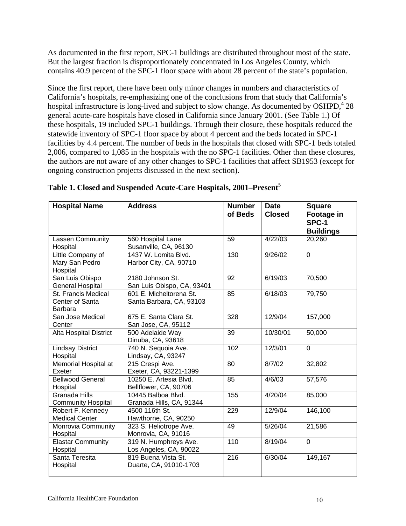As documented in the first report, SPC-1 buildings are distributed throughout most of the state. But the largest fraction is disproportionately concentrated in Los Angeles County, which contains 40.9 percent of the SPC-1 floor space with about 28 percent of the state's population.

Since the first report, there have been only minor changes in numbers and characteristics of California's hospitals, re-emphasizing one of the conclusions from that study that California's hospital infrastructure is long-lived and subject to slow change. As documented by OSHPD,<sup>4</sup> 28 general acute-care hospitals have closed in California since January 2001. (See Table 1.) Of these hospitals, 19 included SPC-1 buildings. Through their closure, these hospitals reduced the statewide inventory of SPC-1 floor space by about 4 percent and the beds located in SPC-1 facilities by 4.4 percent. The number of beds in the hospitals that closed with SPC-1 beds totaled 2,006, compared to 1,085 in the hospitals with the no SPC-1 facilities. Other than these closures, the authors are not aware of any other changes to SPC-1 facilities that affect SB1953 (except for ongoing construction projects discussed in the next section).

| <b>Hospital Name</b>                                     | <b>Address</b>                                      | <b>Number</b><br>of Beds | <b>Date</b><br><b>Closed</b> | <b>Square</b><br>Footage in<br>SPC-1<br><b>Buildings</b> |
|----------------------------------------------------------|-----------------------------------------------------|--------------------------|------------------------------|----------------------------------------------------------|
| Lassen Community<br>Hospital                             | 560 Hospital Lane<br>Susanville, CA, 96130          | 59                       | 4/22/03                      | 20,260                                                   |
| Little Company of<br>Mary San Pedro<br>Hospital          | 1437 W. Lomita Blvd.<br>Harbor City, CA, 90710      | 130                      | 9/26/02                      | $\overline{0}$                                           |
| San Luis Obispo<br><b>General Hospital</b>               | 2180 Johnson St.<br>San Luis Obispo, CA, 93401      | 92                       | 6/19/03                      | 70,500                                                   |
| St. Francis Medical<br>Center of Santa<br><b>Barbara</b> | 601 E. Micheltorena St.<br>Santa Barbara, CA, 93103 | 85                       | 6/18/03                      | 79,750                                                   |
| San Jose Medical<br>Center                               | 675 E. Santa Clara St.<br>San Jose, CA, 95112       | 328                      | 12/9/04                      | 157,000                                                  |
| <b>Alta Hospital District</b>                            | 500 Adelaide Way<br>Dinuba, CA, 93618               | 39                       | 10/30/01                     | 50,000                                                   |
| <b>Lindsay District</b><br>Hospital                      | 740 N. Sequoia Ave.<br>Lindsay, CA, 93247           | 102                      | 12/3/01                      | $\overline{0}$                                           |
| <b>Memorial Hospital at</b><br>Exeter                    | 215 Crespi Ave.<br>Exeter, CA, 93221-1399           | $\overline{80}$          | 8/7/02                       | 32,802                                                   |
| <b>Bellwood General</b><br>Hospital                      | 10250 E. Artesia Blvd.<br>Bellflower, CA, 90706     | 85                       | 4/6/03                       | 57,576                                                   |
| <b>Granada Hills</b><br><b>Community Hospital</b>        | 10445 Balboa Blvd.<br>Granada Hills, CA, 91344      | 155                      | 4/20/04                      | 85,000                                                   |
| Robert F. Kennedy<br><b>Medical Center</b>               | 4500 116th St.<br>Hawthorne, CA, 90250              | 229                      | 12/9/04                      | 146,100                                                  |
| Monrovia Community<br>Hospital                           | 323 S. Heliotrope Ave.<br>Monrovia, CA, 91016       | 49                       | 5/26/04                      | 21,586                                                   |
| <b>Elastar Community</b><br>Hospital                     | 319 N. Humphreys Ave.<br>Los Angeles, CA, 90022     | 110                      | 8/19/04                      | 0                                                        |
| Santa Teresita<br>Hospital                               | 819 Buena Vista St.<br>Duarte, CA, 91010-1703       | $\overline{216}$         | 6/30/04                      | 149,167                                                  |

**Table 1. Closed and Suspended Acute-Care Hospitals, 2001–Present**<sup>5</sup>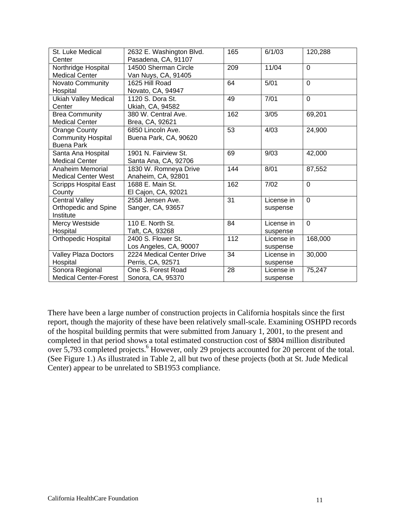| St. Luke Medical             | 2632 E. Washington Blvd.  | 165 | 6/1/03     | 120,288     |
|------------------------------|---------------------------|-----|------------|-------------|
| Center                       | Pasadena, CA, 91107       |     |            |             |
| Northridge Hospital          | 14500 Sherman Circle      | 209 | 11/04      | $\mathbf 0$ |
| <b>Medical Center</b>        | Van Nuys, CA, 91405       |     |            |             |
| <b>Novato Community</b>      | 1625 Hill Road            | 64  | 5/01       | $\mathbf 0$ |
| Hospital                     | Novato, CA, 94947         |     |            |             |
| <b>Ukiah Valley Medical</b>  | 1120 S. Dora St.          | 49  | 7/01       | $\mathbf 0$ |
| Center                       | Ukiah, CA, 94582          |     |            |             |
| <b>Brea Community</b>        | 380 W. Central Ave.       | 162 | 3/05       | 69,201      |
| <b>Medical Center</b>        | Brea, CA, 92621           |     |            |             |
| <b>Orange County</b>         | 6850 Lincoln Ave.         | 53  | 4/03       | 24,900      |
| <b>Community Hospital</b>    | Buena Park, CA, 90620     |     |            |             |
| Buena Park                   |                           |     |            |             |
| Santa Ana Hospital           | 1901 N. Fairview St.      | 69  | 9/03       | 42,000      |
| <b>Medical Center</b>        | Santa Ana, CA, 92706      |     |            |             |
| Anaheim Memorial             | 1830 W. Romneya Drive     | 144 | 8/01       | 87,552      |
| <b>Medical Center West</b>   | Anaheim, CA, 92801        |     |            |             |
| <b>Scripps Hospital East</b> | 1688 E. Main St.          | 162 | 7/02       | $\Omega$    |
| County                       | El Cajon, CA, 92021       |     |            |             |
| Central Valley               | 2558 Jensen Ave.          | 31  | License in | $\mathbf 0$ |
| Orthopedic and Spine         | Sanger, CA, 93657         |     | suspense   |             |
| Institute                    |                           |     |            |             |
| Mercy Westside               | 110 E. North St.          | 84  | License in | $\Omega$    |
| Hospital                     | Taft, CA, 93268           |     | suspense   |             |
| Orthopedic Hospital          | 2400 S. Flower St.        | 112 | License in | 168,000     |
|                              | Los Angeles, CA, 90007    |     | suspense   |             |
| Valley Plaza Doctors         | 2224 Medical Center Drive | 34  | License in | 30,000      |
| Hospital                     | Perris, CA, 92571         |     | suspense   |             |
| Sonora Regional              | One S. Forest Road        | 28  | License in | 75,247      |
| <b>Medical Center-Forest</b> | Sonora, CA, 95370         |     | suspense   |             |

There have been a large number of construction projects in California hospitals since the first report, though the majority of these have been relatively small-scale. Examining OSHPD records of the hospital building permits that were submitted from January 1, 2001, to the present and completed in that period shows a total estimated construction cost of \$804 million distributed over 5,793 completed projects.<sup>6</sup> However, only 29 projects accounted for 20 percent of the total. (See Figure 1.) As illustrated in Table 2, all but two of these projects (both at St. Jude Medical Center) appear to be unrelated to SB1953 compliance.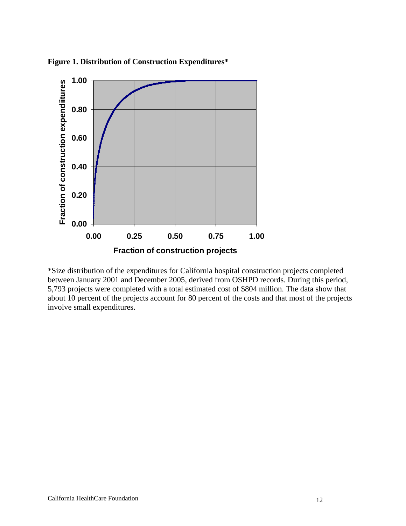

**Figure 1. Distribution of Construction Expenditures\*** 

\*Size distribution of the expenditures for California hospital construction projects completed between January 2001 and December 2005, derived from OSHPD records. During this period, 5,793 projects were completed with a total estimated cost of \$804 million. The data show that about 10 percent of the projects account for 80 percent of the costs and that most of the projects involve small expenditures.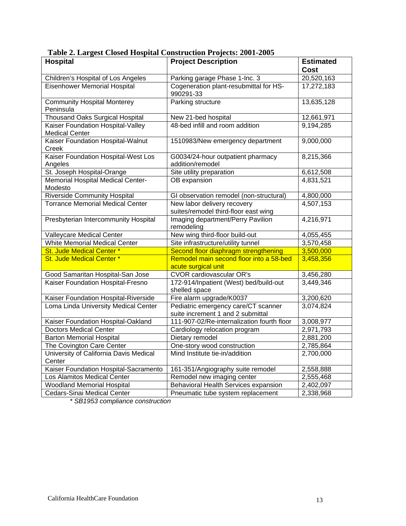| <b>Hospital</b>                                            | <b>Project Description</b>                                               | <b>Estimated</b> |
|------------------------------------------------------------|--------------------------------------------------------------------------|------------------|
|                                                            |                                                                          | <b>Cost</b>      |
| Children's Hospital of Los Angeles                         | Parking garage Phase 1-Inc. 3                                            | 20,520,163       |
| <b>Eisenhower Memorial Hospital</b>                        | Cogeneration plant-resubmittal for HS-<br>990291-33                      | 17,272,183       |
| <b>Community Hospital Monterey</b><br>Peninsula            | <b>Parking structure</b>                                                 | 13,635,128       |
| <b>Thousand Oaks Surgical Hospital</b>                     | New 21-bed hospital                                                      | 12,661,971       |
| Kaiser Foundation Hospital-Valley<br><b>Medical Center</b> | 48-bed infill and room addition                                          | 9,194,285        |
| Kaiser Foundation Hospital-Walnut<br>Creek                 | 1510983/New emergency department                                         | 9,000,000        |
| Kaiser Foundation Hospital-West Los<br>Angeles             | G0034/24-hour outpatient pharmacy<br>addition/remodel                    | 8,215,366        |
| St. Joseph Hospital-Orange                                 | Site utility preparation                                                 | 6,612,508        |
| Memorial Hospital Medical Center-<br>Modesto               | OB expansion                                                             | 4,831,521        |
| <b>Riverside Community Hospital</b>                        | GI observation remodel (non-structural)                                  | 4,800,000        |
| <b>Torrance Memorial Medical Center</b>                    | New labor delivery recovery<br>suites/remodel third-floor east wing      | 4,507,153        |
| Presbyterian Intercommunity Hospital                       | Imaging department/Perry Pavilion<br>remodeling                          | 4,216,971        |
| Valleycare Medical Center                                  | New wing third-floor build-out                                           | 4,055,455        |
| <b>White Memorial Medical Center</b>                       | Site infrastructure/utility tunnel                                       | 3,570,458        |
| St. Jude Medical Center *                                  | Second floor diaphragm strengthening                                     | 3,500,000        |
| St. Jude Medical Center *                                  | Remodel main second floor into a 58-bed<br>acute surgical unit           | 3,458,356        |
| Good Samaritan Hospital-San Jose                           | <b>CVOR cardiovascular OR's</b>                                          | 3,456,280        |
| Kaiser Foundation Hospital-Fresno                          | 172-914/Inpatient (West) bed/build-out<br>shelled space                  | 3,449,346        |
| Kaiser Foundation Hospital-Riverside                       | Fire alarm upgrade/K0037                                                 | 3,200,620        |
| Loma Linda University Medical Center                       | Pediatric emergency care/CT scanner<br>suite increment 1 and 2 submittal | 3,074,824        |
| Kaiser Foundation Hospital-Oakland                         | 111-907-02/Re-internalization fourth floor                               | 3,008,977        |
| <b>Doctors Medical Center</b>                              | Cardiology relocation program                                            | 2,971,793        |
| <b>Barton Memorial Hospital</b>                            | Dietary remodel                                                          | 2,881,200        |
| The Covington Care Center                                  | One-story wood construction                                              | 2,785,864        |
| University of California Davis Medical<br>Center           | Mind Institute tie-in/addition                                           | 2,700,000        |
| Kaiser Foundation Hospital-Sacramento                      | 161-351/Angiography suite remodel                                        | 2,558,888        |
| Los Alamitos Medical Center                                | Remodel new imaging center                                               | 2,555,468        |
| <b>Woodland Memorial Hospital</b>                          | Behavioral Health Services expansion                                     | 2,402,097        |
| Cedars-Sinai Medical Center                                | Pneumatic tube system replacement                                        | 2,338,968        |

**Table 2. Largest Closed Hospital Construction Projects: 2001-2005** 

*\* SB1953 compliance construction*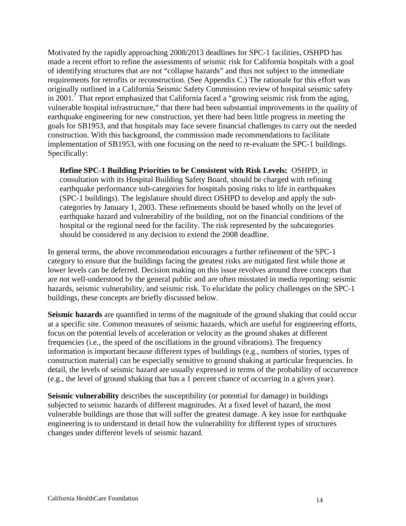Motivated by the rapidly approaching 2008/2013 deadlines for SPC-1 facilities, OSHPD has made a recent effort to refine the assessments of seismic risk for California hospitals with a goal of identifying structures that are not "collapse hazards" and thus not subject to the immediate requirements for retrofits or reconstruction. (See Appendix C.) The rationale for this effort was originally outlined in a California Seismic Safety Commission review of hospital seismic safety in 2001.<sup>7</sup> That report emphasized that California faced a "growing seismic risk from the aging, vulnerable hospital infrastructure," that there had been substantial improvements in the quality of earthquake engineering for new construction, yet there had been little progress in meeting the goals for SB1953, and that hospitals may face severe financial challenges to carry out the needed construction. With this background, the commission made recommendations to facilitate implementation of SB1953, with one focusing on the need to re-evaluate the SPC-1 buildings. Specifically:

**Refine SPC-1 Building Priorities to be Consistent with Risk Levels:** OSHPD, in consultation with its Hospital Building Safety Board, should be charged with refining earthquake performance sub-categories for hospitals posing risks to life in earthquakes (SPC-1 buildings). The legislature should direct OSHPD to develop and apply the subcategories by January 1, 2003. These refinements should be based wholly on the level of earthquake hazard and vulnerability of the building, not on the financial conditions of the hospital or the regional need for the facility. The risk represented by the subcategories should be considered in any decision to extend the 2008 deadline.

In general terms, the above recommendation encourages a further refinement of the SPC-1 category to ensure that the buildings facing the greatest risks are mitigated first while those at lower levels can be deferred. Decision making on this issue revolves around three concepts that are not well-understood by the general public and are often misstated in media reporting: seismic hazards, seismic vulnerability, and seismic risk. To elucidate the policy challenges on the SPC-1 buildings, these concepts are briefly discussed below.

**Seismic hazards** are quantified in terms of the magnitude of the ground shaking that could occur at a specific site. Common measures of seismic hazards, which are useful for engineering efforts, focus on the potential levels of acceleration or velocity as the ground shakes at different frequencies (i.e., the speed of the oscillations in the ground vibrations). The frequency information is important because different types of buildings (e.g., numbers of stories, types of construction material) can be especially sensitive to ground shaking at particular frequencies. In detail, the levels of seismic hazard are usually expressed in terms of the probability of occurrence (e.g., the level of ground shaking that has a 1 percent chance of occurring in a given year).

**Seismic vulnerability** describes the susceptibility (or potential for damage) in buildings subjected to seismic hazards of different magnitudes. At a fixed level of hazard, the most vulnerable buildings are those that will suffer the greatest damage. A key issue for earthquake engineering is to understand in detail how the vulnerability for different types of structures changes under different levels of seismic hazard.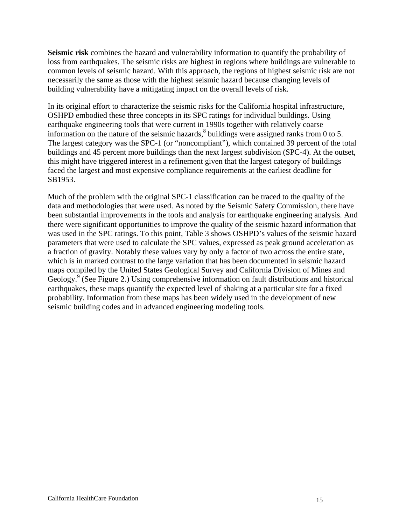**Seismic risk** combines the hazard and vulnerability information to quantify the probability of loss from earthquakes. The seismic risks are highest in regions where buildings are vulnerable to common levels of seismic hazard. With this approach, the regions of highest seismic risk are not necessarily the same as those with the highest seismic hazard because changing levels of building vulnerability have a mitigating impact on the overall levels of risk.

In its original effort to characterize the seismic risks for the California hospital infrastructure, OSHPD embodied these three concepts in its SPC ratings for individual buildings. Using earthquake engineering tools that were current in 1990s together with relatively coarse information on the nature of the seismic hazards, $8$  buildings were assigned ranks from 0 to 5. The largest category was the SPC-1 (or "noncompliant"), which contained 39 percent of the total buildings and 45 percent more buildings than the next largest subdivision (SPC-4). At the outset, this might have triggered interest in a refinement given that the largest category of buildings faced the largest and most expensive compliance requirements at the earliest deadline for SB1953.

Much of the problem with the original SPC-1 classification can be traced to the quality of the data and methodologies that were used. As noted by the Seismic Safety Commission, there have been substantial improvements in the tools and analysis for earthquake engineering analysis. And there were significant opportunities to improve the quality of the seismic hazard information that was used in the SPC ratings. To this point, Table 3 shows OSHPD's values of the seismic hazard parameters that were used to calculate the SPC values, expressed as peak ground acceleration as a fraction of gravity. Notably these values vary by only a factor of two across the entire state, which is in marked contrast to the large variation that has been documented in seismic hazard maps compiled by the United States Geological Survey and California Division of Mines and Geology.<sup>9</sup> (See Figure 2.) Using comprehensive information on fault distributions and historical earthquakes, these maps quantify the expected level of shaking at a particular site for a fixed probability. Information from these maps has been widely used in the development of new seismic building codes and in advanced engineering modeling tools.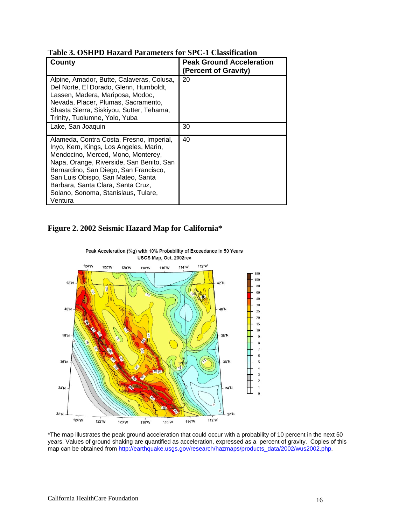| County                                                                                                                                                                                                                                                                                                                                    | <b>Peak Ground Acceleration</b><br>(Percent of Gravity) |
|-------------------------------------------------------------------------------------------------------------------------------------------------------------------------------------------------------------------------------------------------------------------------------------------------------------------------------------------|---------------------------------------------------------|
| Alpine, Amador, Butte, Calaveras, Colusa,<br>Del Norte, El Dorado, Glenn, Humboldt,<br>Lassen, Madera, Mariposa, Modoc,<br>Nevada, Placer, Plumas, Sacramento,<br>Shasta Sierra, Siskiyou, Sutter, Tehama,<br>Trinity, Tuolumne, Yolo, Yuba                                                                                               | 20                                                      |
| Lake, San Joaquin                                                                                                                                                                                                                                                                                                                         | 30                                                      |
| Alameda, Contra Costa, Fresno, Imperial,<br>Inyo, Kern, Kings, Los Angeles, Marin,<br>Mendocino, Merced, Mono, Monterey,<br>Napa, Orange, Riverside, San Benito, San<br>Bernardino, San Diego, San Francisco,<br>San Luis Obispo, San Mateo, Santa<br>Barbara, Santa Clara, Santa Cruz,<br>Solano, Sonoma, Stanislaus, Tulare,<br>Ventura | 40                                                      |

**Table 3. OSHPD Hazard Parameters for SPC-1 Classification** 

#### **Figure 2. 2002 Seismic Hazard Map for California\***



Peak Acceleration (%g) with 10% Probability of Exceedance in 50 Years USGS Map, Oct. 2002rev

\*The map illustrates the peak ground acceleration that could occur with a probability of 10 percent in the next 50 years. Values of ground shaking are quantified as acceleration, expressed as a percent of gravity. Copies of this map can be obtained from http://earthquake.usgs.gov/research/hazmaps/products\_data/2002/wus2002.php.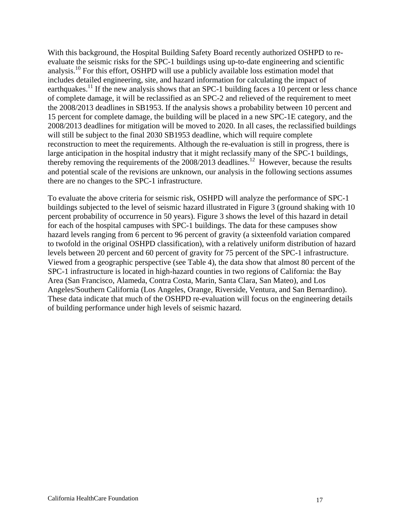With this background, the Hospital Building Safety Board recently authorized OSHPD to reevaluate the seismic risks for the SPC-1 buildings using up-to-date engineering and scientific analysis.10 For this effort, OSHPD will use a publicly available loss estimation model that includes detailed engineering, site, and hazard information for calculating the impact of earthquakes.<sup>11</sup> If the new analysis shows that an SPC-1 building faces a 10 percent or less chance of complete damage, it will be reclassified as an SPC-2 and relieved of the requirement to meet the 2008/2013 deadlines in SB1953. If the analysis shows a probability between 10 percent and 15 percent for complete damage, the building will be placed in a new SPC-1E category, and the 2008/2013 deadlines for mitigation will be moved to 2020. In all cases, the reclassified buildings will still be subject to the final 2030 SB1953 deadline, which will require complete reconstruction to meet the requirements. Although the re-evaluation is still in progress, there is large anticipation in the hospital industry that it might reclassify many of the SPC-1 buildings, thereby removing the requirements of the  $2008/2013$  deadlines.<sup>12</sup> However, because the results and potential scale of the revisions are unknown, our analysis in the following sections assumes there are no changes to the SPC-1 infrastructure.

To evaluate the above criteria for seismic risk, OSHPD will analyze the performance of SPC-1 buildings subjected to the level of seismic hazard illustrated in Figure 3 (ground shaking with 10 percent probability of occurrence in 50 years). Figure 3 shows the level of this hazard in detail for each of the hospital campuses with SPC-1 buildings. The data for these campuses show hazard levels ranging from 6 percent to 96 percent of gravity (a sixteenfold variation compared to twofold in the original OSHPD classification), with a relatively uniform distribution of hazard levels between 20 percent and 60 percent of gravity for 75 percent of the SPC-1 infrastructure. Viewed from a geographic perspective (see Table 4), the data show that almost 80 percent of the SPC-1 infrastructure is located in high-hazard counties in two regions of California: the Bay Area (San Francisco, Alameda, Contra Costa, Marin, Santa Clara, San Mateo), and Los Angeles/Southern California (Los Angeles, Orange, Riverside, Ventura, and San Bernardino). These data indicate that much of the OSHPD re-evaluation will focus on the engineering details of building performance under high levels of seismic hazard.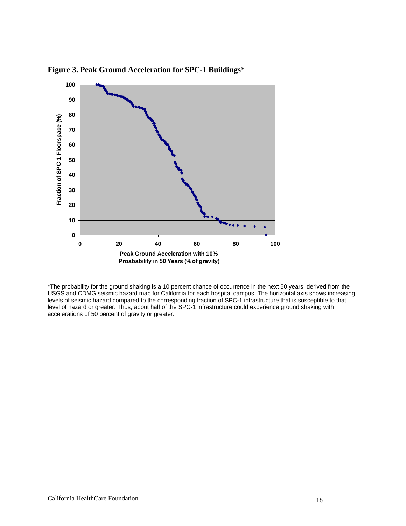

**Figure 3. Peak Ground Acceleration for SPC-1 Buildings\*** 

\*The probability for the ground shaking is a 10 percent chance of occurrence in the next 50 years, derived from the USGS and CDMG seismic hazard map for California for each hospital campus. The horizontal axis shows increasing levels of seismic hazard compared to the corresponding fraction of SPC-1 infrastructure that is susceptible to that level of hazard or greater. Thus, about half of the SPC-1 infrastructure could experience ground shaking with accelerations of 50 percent of gravity or greater.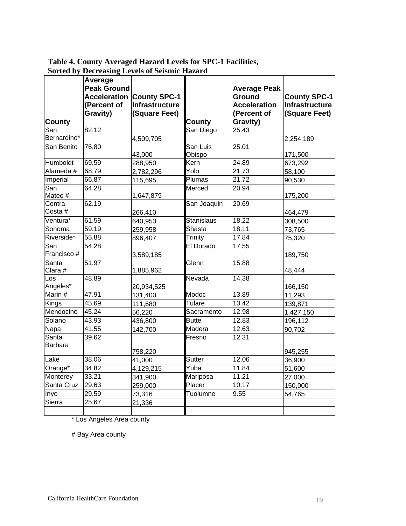| Table 4. County Averaged Hazard Levels for SPC-1 Facilities, |
|--------------------------------------------------------------|
| <b>Sorted by Decreasing Levels of Seismic Hazard</b>         |

|                         | Average<br><b>Peak Ground</b><br>(Percent of<br>Gravity) | <b>Acceleration County SPC-1</b><br>Infrastructure<br>(Square Feet) |                   | <b>Average Peak</b><br>Ground<br><b>Acceleration</b><br>(Percent of | <b>County SPC-1</b><br>Infrastructure<br>(Square Feet) |
|-------------------------|----------------------------------------------------------|---------------------------------------------------------------------|-------------------|---------------------------------------------------------------------|--------------------------------------------------------|
| <b>County</b>           |                                                          |                                                                     | <b>County</b>     | Gravity)                                                            |                                                        |
| San<br>Bernardino*      | 82.12                                                    | 4,509,705                                                           | San Diego         | 25.43                                                               | 2,254,189                                              |
| San Benito              | 76.80                                                    |                                                                     | San Luis          | 25.01                                                               |                                                        |
|                         |                                                          | 43,000                                                              | Obispo            |                                                                     | 171,500                                                |
| Humboldt                | 69.59                                                    | 288,950                                                             | Kern              | 24.89                                                               | 673,292                                                |
| Alameda #               | 68.79                                                    | 2,782,296                                                           | Yolo              | 21.73                                                               | 58,100                                                 |
| Imperial                | 66.87                                                    | 115,695                                                             | Plumas            | 21.72                                                               | 90,530                                                 |
| San<br>Mateo#           | 64.28                                                    | 1,647,879                                                           | Merced            | 20.94                                                               | 175,200                                                |
| Contra<br>Costa#        | 62.19                                                    | 266,410                                                             | San Joaquin       | 20.69                                                               | 464,479                                                |
| Ventura*                | 61.59                                                    | 640,953                                                             | <b>Stanislaus</b> | 18.22                                                               | 308,500                                                |
| Sonoma                  | 59.19                                                    | 259,958                                                             | Shasta            | 18.11                                                               | 73,765                                                 |
| Riverside*              | 55.88                                                    | 896,407                                                             | <b>Trinity</b>    | 17.84                                                               | 75,320                                                 |
| San                     | 54.28                                                    |                                                                     | El Dorado         | 17.55                                                               |                                                        |
| Francisco#              |                                                          | 3,589,185                                                           |                   |                                                                     | 189,750                                                |
| Santa<br>Clara #        | 51.97                                                    | 1,885,962                                                           | Glenn             | 15.88                                                               | 48,444                                                 |
| $\overline{\text{Los}}$ | 48.89                                                    |                                                                     | Nevada            | 14.38                                                               |                                                        |
| Angeles*                |                                                          | 20,934,525                                                          |                   |                                                                     | 166,150                                                |
| Marin #                 | 47.91                                                    | 131,400                                                             | Modoc             | 13.89                                                               | 11,293                                                 |
| Kings                   | 45.69                                                    | 111,680                                                             | Tulare            | 13.42                                                               | 139,871                                                |
| Mendocino               | 45.24                                                    | 56,220                                                              | Sacramento        | 12.98                                                               | 1,427,150                                              |
| Solano                  | 43.93                                                    | 436,800                                                             | <b>Butte</b>      | 12.83                                                               | 196,112                                                |
| Napa                    | 41.55                                                    | 142,700                                                             | Madera            | 12.63                                                               | 90,702                                                 |
| Santa<br><b>Barbara</b> | 39.62                                                    |                                                                     | Fresno            | 12.31                                                               |                                                        |
|                         |                                                          | 758,220                                                             |                   |                                                                     | 945,255                                                |
| Lake                    | 38.06                                                    | 41,000                                                              | Sutter            | 12.06                                                               | 36,900                                                 |
| Orange*                 | 34.82                                                    | 4,129,215                                                           | Yuba              | 11.84                                                               | 51,600                                                 |
| Monterey                | 33.21                                                    | 341,900                                                             | Mariposa          | 11.21                                                               | 27,000                                                 |
| Santa Cruz              | 29.63                                                    | 259,000                                                             | Placer            | 10.17                                                               | 150,000                                                |
| Inyo                    | 29.59                                                    | 73,316                                                              | Tuolumne          | 9.55                                                                | 54,765                                                 |
| Sierra                  | 25.67                                                    | 21,336                                                              |                   |                                                                     |                                                        |

\* Los Angeles Area county

# Bay Area county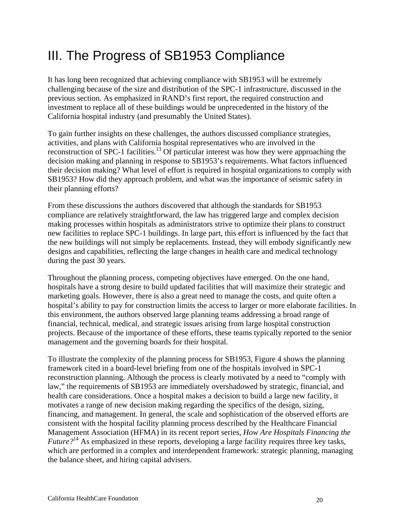# III. The Progress of SB1953 Compliance

It has long been recognized that achieving compliance with SB1953 will be extremely challenging because of the size and distribution of the SPC-1 infrastructure, discussed in the previous section. As emphasized in RAND's first report, the required construction and investment to replace all of these buildings would be unprecedented in the history of the California hospital industry (and presumably the United States).

To gain further insights on these challenges, the authors discussed compliance strategies, activities, and plans with California hospital representatives who are involved in the reconstruction of SPC-1 facilities.<sup>13</sup> Of particular interest was how they were approaching the decision making and planning in response to SB1953's requirements. What factors influenced their decision making? What level of effort is required in hospital organizations to comply with SB1953? How did they approach problem, and what was the importance of seismic safety in their planning efforts?

From these discussions the authors discovered that although the standards for SB1953 compliance are relatively straightforward, the law has triggered large and complex decision making processes within hospitals as administrators strive to optimize their plans to construct new facilities to replace SPC-1 buildings. In large part, this effort is influenced by the fact that the new buildings will not simply be replacements. Instead, they will embody significantly new designs and capabilities, reflecting the large changes in health care and medical technology during the past 30 years.

Throughout the planning process, competing objectives have emerged. On the one hand, hospitals have a strong desire to build updated facilities that will maximize their strategic and marketing goals. However, there is also a great need to manage the costs, and quite often a hospital's ability to pay for construction limits the access to larger or more elaborate facilities. In this environment, the authors observed large planning teams addressing a broad range of financial, technical, medical, and strategic issues arising from large hospital construction projects. Because of the importance of these efforts, these teams typically reported to the senior management and the governing boards for their hospital.

To illustrate the complexity of the planning process for SB1953, Figure 4 shows the planning framework cited in a board-level briefing from one of the hospitals involved in SPC-1 reconstruction planning. Although the process is clearly motivated by a need to "comply with law," the requirements of SB1953 are immediately overshadowed by strategic, financial, and health care considerations. Once a hospital makes a decision to build a large new facility, it motivates a range of new decision making regarding the specifics of the design, sizing, financing, and management. In general, the scale and sophistication of the observed efforts are consistent with the hospital facility planning process described by the Healthcare Financial Management Association (HFMA) in its recent report series, *How Are Hospitals Financing the Future*?<sup>14</sup> As emphasized in these reports, developing a large facility requires three key tasks, which are performed in a complex and interdependent framework: strategic planning, managing the balance sheet, and hiring capital advisers.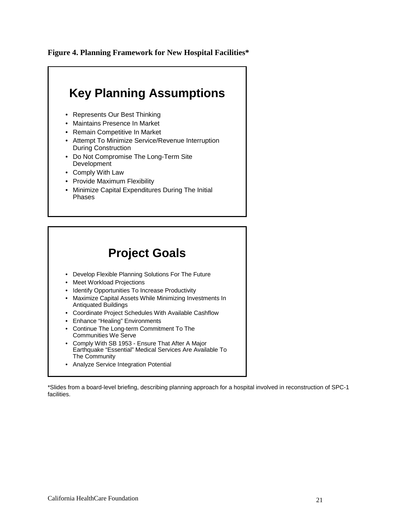**Figure 4. Planning Framework for New Hospital Facilities\*** 



### **Project Goals**

- Develop Flexible Planning Solutions For The Future
- Meet Workload Projections
- Identify Opportunities To Increase Productivity
- Maximize Capital Assets While Minimizing Investments In Antiquated Buildings
- Coordinate Project Schedules With Available Cashflow
- Enhance "Healing" Environments
- Continue The Long-term Commitment To The Communities We Serve
- Comply With SB 1953 Ensure That After A Major Earthquake "Essential" Medical Services Are Available To The Community
- Analyze Service Integration Potential

\*Slides from a board-level briefing, describing planning approach for a hospital involved in reconstruction of SPC-1 facilities.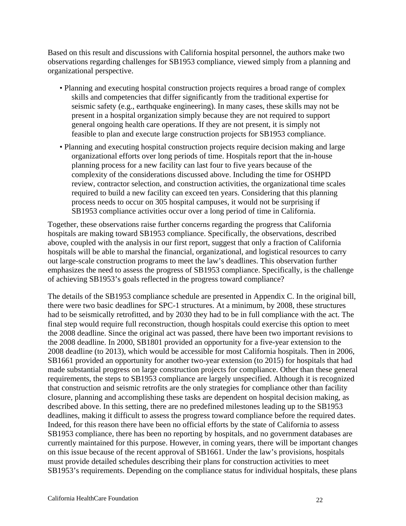Based on this result and discussions with California hospital personnel, the authors make two observations regarding challenges for SB1953 compliance, viewed simply from a planning and organizational perspective.

- Planning and executing hospital construction projects requires a broad range of complex skills and competencies that differ significantly from the traditional expertise for seismic safety (e.g., earthquake engineering). In many cases, these skills may not be present in a hospital organization simply because they are not required to support general ongoing health care operations. If they are not present, it is simply not feasible to plan and execute large construction projects for SB1953 compliance.
- Planning and executing hospital construction projects require decision making and large organizational efforts over long periods of time. Hospitals report that the in-house planning process for a new facility can last four to five years because of the complexity of the considerations discussed above. Including the time for OSHPD review, contractor selection, and construction activities, the organizational time scales required to build a new facility can exceed ten years. Considering that this planning process needs to occur on 305 hospital campuses, it would not be surprising if SB1953 compliance activities occur over a long period of time in California.

Together, these observations raise further concerns regarding the progress that California hospitals are making toward SB1953 compliance. Specifically, the observations, described above, coupled with the analysis in our first report, suggest that only a fraction of California hospitals will be able to marshal the financial, organizational, and logistical resources to carry out large-scale construction programs to meet the law's deadlines. This observation further emphasizes the need to assess the progress of SB1953 compliance. Specifically, is the challenge of achieving SB1953's goals reflected in the progress toward compliance?

The details of the SB1953 compliance schedule are presented in Appendix C. In the original bill, there were two basic deadlines for SPC-1 structures. At a minimum, by 2008, these structures had to be seismically retrofitted, and by 2030 they had to be in full compliance with the act. The final step would require full reconstruction, though hospitals could exercise this option to meet the 2008 deadline. Since the original act was passed, there have been two important revisions to the 2008 deadline. In 2000, SB1801 provided an opportunity for a five-year extension to the 2008 deadline (to 2013), which would be accessible for most California hospitals. Then in 2006, SB1661 provided an opportunity for another two-year extension (to 2015) for hospitals that had made substantial progress on large construction projects for compliance. Other than these general requirements, the steps to SB1953 compliance are largely unspecified. Although it is recognized that construction and seismic retrofits are the only strategies for compliance other than facility closure, planning and accomplishing these tasks are dependent on hospital decision making, as described above. In this setting, there are no predefined milestones leading up to the SB1953 deadlines, making it difficult to assess the progress toward compliance before the required dates. Indeed, for this reason there have been no official efforts by the state of California to assess SB1953 compliance, there has been no reporting by hospitals, and no government databases are currently maintained for this purpose. However, in coming years, there will be important changes on this issue because of the recent approval of SB1661. Under the law's provisions, hospitals must provide detailed schedules describing their plans for construction activities to meet SB1953's requirements. Depending on the compliance status for individual hospitals, these plans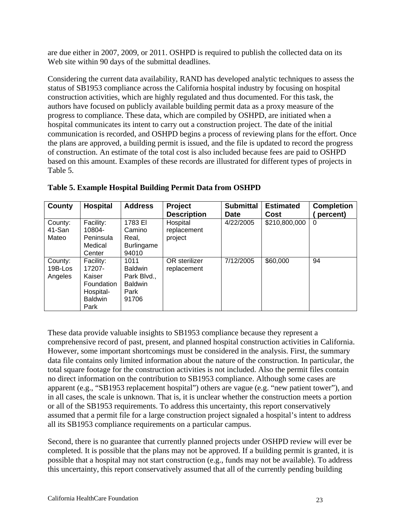are due either in 2007, 2009, or 2011. OSHPD is required to publish the collected data on its Web site within 90 days of the submittal deadlines.

Considering the current data availability, RAND has developed analytic techniques to assess the status of SB1953 compliance across the California hospital industry by focusing on hospital construction activities, which are highly regulated and thus documented. For this task, the authors have focused on publicly available building permit data as a proxy measure of the progress to compliance. These data, which are compiled by OSHPD, are initiated when a hospital communicates its intent to carry out a construction project. The date of the initial communication is recorded, and OSHPD begins a process of reviewing plans for the effort. Once the plans are approved, a building permit is issued, and the file is updated to record the progress of construction. An estimate of the total cost is also included because fees are paid to OSHPD based on this amount. Examples of these records are illustrated for different types of projects in Table 5.

| County                        | <b>Hospital</b>                                                                    | <b>Address</b>                                                           | Project<br><b>Description</b>      | <b>Submittal</b><br>Date | <b>Estimated</b><br>Cost | <b>Completion</b><br>percent) |
|-------------------------------|------------------------------------------------------------------------------------|--------------------------------------------------------------------------|------------------------------------|--------------------------|--------------------------|-------------------------------|
| County:<br>41-San<br>Mateo    | Facility:<br>10804-<br>Peninsula<br>Medical<br>Center                              | 1783 EI<br>Camino<br>Real.<br><b>Burlingame</b><br>94010                 | Hospital<br>replacement<br>project | 4/22/2005                | \$210,800,000            | 0                             |
| County:<br>19B-Los<br>Angeles | Facility:<br>17207-<br>Kaiser<br>Foundation<br>Hospital-<br><b>Baldwin</b><br>Park | 1011<br><b>Baldwin</b><br>Park Blvd.,<br><b>Baldwin</b><br>Park<br>91706 | OR sterilizer<br>replacement       | 7/12/2005                | \$60,000                 | 94                            |

**Table 5. Example Hospital Building Permit Data from OSHPD** 

These data provide valuable insights to SB1953 compliance because they represent a comprehensive record of past, present, and planned hospital construction activities in California. However, some important shortcomings must be considered in the analysis. First, the summary data file contains only limited information about the nature of the construction. In particular, the total square footage for the construction activities is not included. Also the permit files contain no direct information on the contribution to SB1953 compliance. Although some cases are apparent (e.g., "SB1953 replacement hospital") others are vague (e.g. "new patient tower"), and in all cases, the scale is unknown. That is, it is unclear whether the construction meets a portion or all of the SB1953 requirements. To address this uncertainty, this report conservatively assumed that a permit file for a large construction project signaled a hospital's intent to address all its SB1953 compliance requirements on a particular campus.

Second, there is no guarantee that currently planned projects under OSHPD review will ever be completed. It is possible that the plans may not be approved. If a building permit is granted, it is possible that a hospital may not start construction (e.g., funds may not be available). To address this uncertainty, this report conservatively assumed that all of the currently pending building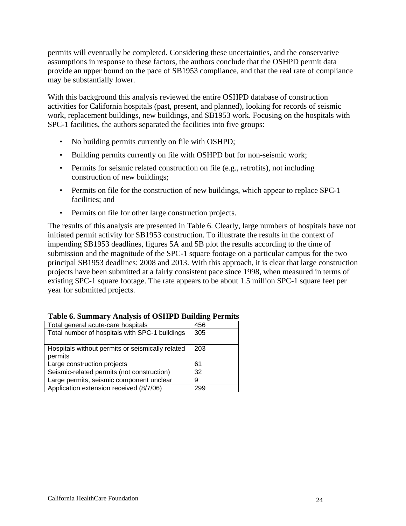permits will eventually be completed. Considering these uncertainties, and the conservative assumptions in response to these factors, the authors conclude that the OSHPD permit data provide an upper bound on the pace of SB1953 compliance, and that the real rate of compliance may be substantially lower.

With this background this analysis reviewed the entire OSHPD database of construction activities for California hospitals (past, present, and planned), looking for records of seismic work, replacement buildings, new buildings, and SB1953 work. Focusing on the hospitals with SPC-1 facilities, the authors separated the facilities into five groups:

- No building permits currently on file with OSHPD;
- Building permits currently on file with OSHPD but for non-seismic work;
- Permits for seismic related construction on file (e.g., retrofits), not including construction of new buildings;
- Permits on file for the construction of new buildings, which appear to replace SPC-1 facilities; and
- Permits on file for other large construction projects.

The results of this analysis are presented in Table 6. Clearly, large numbers of hospitals have not initiated permit activity for SB1953 construction. To illustrate the results in the context of impending SB1953 deadlines, figures 5A and 5B plot the results according to the time of submission and the magnitude of the SPC-1 square footage on a particular campus for the two principal SB1953 deadlines: 2008 and 2013. With this approach, it is clear that large construction projects have been submitted at a fairly consistent pace since 1998, when measured in terms of existing SPC-1 square footage. The rate appears to be about 1.5 million SPC-1 square feet per year for submitted projects.

| Total general acute-care hospitals               | 456 |
|--------------------------------------------------|-----|
| Total number of hospitals with SPC-1 buildings   | 305 |
| Hospitals without permits or seismically related | 203 |
| permits                                          |     |
| Large construction projects                      | 61  |
| Seismic-related permits (not construction)       | 32  |
| Large permits, seismic component unclear         | 9   |
| Application extension received (8/7/06)          | 299 |

|  | <b>Table 6. Summary Analysis of OSHPD Building Permits</b> |  |  |  |
|--|------------------------------------------------------------|--|--|--|
|--|------------------------------------------------------------|--|--|--|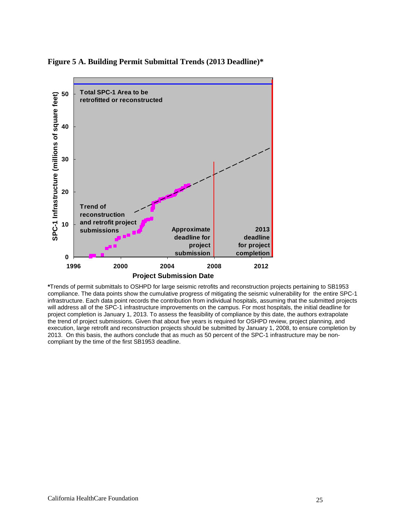**Figure 5 A. Building Permit Submittal Trends (2013 Deadline)\*** 



**\***Trends of permit submittals to OSHPD for large seismic retrofits and reconstruction projects pertaining to SB1953 compliance. The data points show the cumulative progress of mitigating the seismic vulnerability for the entire SPC-1 infrastructure. Each data point records the contribution from individual hospitals, assuming that the submitted projects will address all of the SPC-1 infrastructure improvements on the campus. For most hospitals, the initial deadline for project completion is January 1, 2013. To assess the feasibility of compliance by this date, the authors extrapolate the trend of project submissions. Given that about five years is required for OSHPD review, project planning, and execution, large retrofit and reconstruction projects should be submitted by January 1, 2008, to ensure completion by 2013. On this basis, the authors conclude that as much as 50 percent of the SPC-1 infrastructure may be noncompliant by the time of the first SB1953 deadline.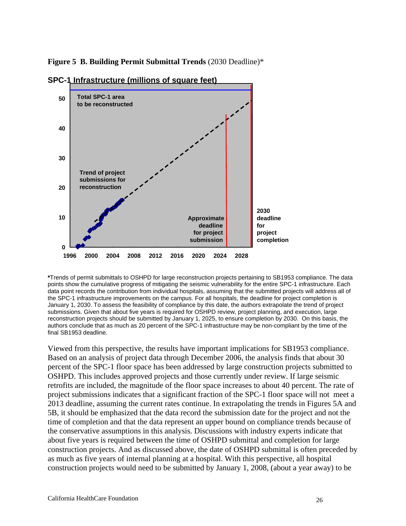**Figure 5 B. Building Permit Submittal Trends** (2030 Deadline)\*



**SPC-1 Infrastructure (millions of square feet)**

**\***Trends of permit submittals to OSHPD for large reconstruction projects pertaining to SB1953 compliance. The data points show the cumulative progress of mitigating the seismic vulnerability for the entire SPC-1 infrastructure. Each data point records the contribution from individual hospitals, assuming that the submitted projects will address all of the SPC-1 infrastructure improvements on the campus. For all hospitals, the deadline for project completion is January 1, 2030. To assess the feasibility of compliance by this date, the authors extrapolate the trend of project submissions. Given that about five years is required for OSHPD review, project planning, and execution, large reconstruction projects should be submitted by January 1, 2025, to ensure completion by 2030. On this basis, the authors conclude that as much as 20 percent of the SPC-1 infrastructure may be non-compliant by the time of the final SB1953 deadline.

Viewed from this perspective, the results have important implications for SB1953 compliance. Based on an analysis of project data through December 2006, the analysis finds that about 30 percent of the SPC-1 floor space has been addressed by large construction projects submitted to OSHPD. This includes approved projects and those currently under review. If large seismic retrofits are included, the magnitude of the floor space increases to about 40 percent. The rate of project submissions indicates that a significant fraction of the SPC-1 floor space will not meet a 2013 deadline, assuming the current rates continue. In extrapolating the trends in Figures 5A and 5B, it should be emphasized that the data record the submission date for the project and not the time of completion and that the data represent an upper bound on compliance trends because of the conservative assumptions in this analysis. Discussions with industry experts indicate that about five years is required between the time of OSHPD submittal and completion for large construction projects. And as discussed above, the date of OSHPD submittal is often preceded by as much as five years of internal planning at a hospital. With this perspective, all hospital construction projects would need to be submitted by January 1, 2008, (about a year away) to be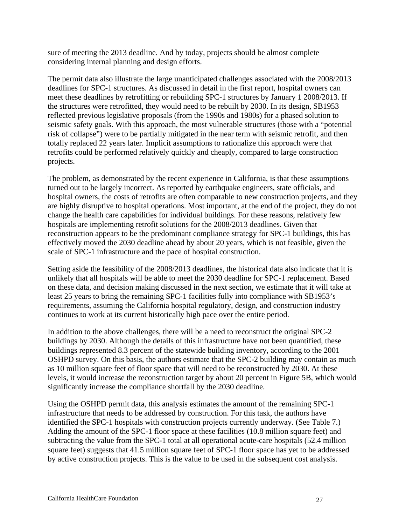sure of meeting the 2013 deadline. And by today, projects should be almost complete considering internal planning and design efforts.

The permit data also illustrate the large unanticipated challenges associated with the 2008/2013 deadlines for SPC-1 structures. As discussed in detail in the first report, hospital owners can meet these deadlines by retrofitting or rebuilding SPC-1 structures by January 1 2008/2013. If the structures were retrofitted, they would need to be rebuilt by 2030. In its design, SB1953 reflected previous legislative proposals (from the 1990s and 1980s) for a phased solution to seismic safety goals. With this approach, the most vulnerable structures (those with a "potential risk of collapse") were to be partially mitigated in the near term with seismic retrofit, and then totally replaced 22 years later. Implicit assumptions to rationalize this approach were that retrofits could be performed relatively quickly and cheaply, compared to large construction projects.

The problem, as demonstrated by the recent experience in California, is that these assumptions turned out to be largely incorrect. As reported by earthquake engineers, state officials, and hospital owners, the costs of retrofits are often comparable to new construction projects, and they are highly disruptive to hospital operations. Most important, at the end of the project, they do not change the health care capabilities for individual buildings. For these reasons, relatively few hospitals are implementing retrofit solutions for the 2008/2013 deadlines. Given that reconstruction appears to be the predominant compliance strategy for SPC-1 buildings, this has effectively moved the 2030 deadline ahead by about 20 years, which is not feasible, given the scale of SPC-1 infrastructure and the pace of hospital construction.

Setting aside the feasibility of the 2008/2013 deadlines, the historical data also indicate that it is unlikely that all hospitals will be able to meet the 2030 deadline for SPC-1 replacement. Based on these data, and decision making discussed in the next section, we estimate that it will take at least 25 years to bring the remaining SPC-1 facilities fully into compliance with SB1953's requirements, assuming the California hospital regulatory, design, and construction industry continues to work at its current historically high pace over the entire period.

In addition to the above challenges, there will be a need to reconstruct the original SPC-2 buildings by 2030. Although the details of this infrastructure have not been quantified, these buildings represented 8.3 percent of the statewide building inventory, according to the 2001 OSHPD survey. On this basis, the authors estimate that the SPC-2 building may contain as much as 10 million square feet of floor space that will need to be reconstructed by 2030. At these levels, it would increase the reconstruction target by about 20 percent in Figure 5B, which would significantly increase the compliance shortfall by the 2030 deadline.

Using the OSHPD permit data, this analysis estimates the amount of the remaining SPC-1 infrastructure that needs to be addressed by construction. For this task, the authors have identified the SPC-1 hospitals with construction projects currently underway. (See Table 7.) Adding the amount of the SPC-1 floor space at these facilities (10.8 million square feet) and subtracting the value from the SPC-1 total at all operational acute-care hospitals (52.4 million square feet) suggests that 41.5 million square feet of SPC-1 floor space has yet to be addressed by active construction projects. This is the value to be used in the subsequent cost analysis.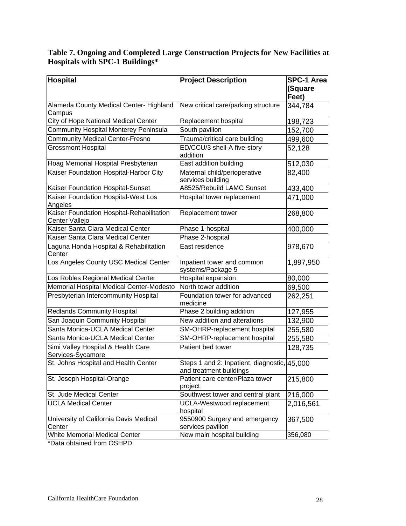#### **Table 7. Ongoing and Completed Large Construction Projects for New Facilities at Hospitals with SPC-1 Buildings\***

| Hospital                                                    | <b>Project Description</b>                                              | SPC-1 Area       |
|-------------------------------------------------------------|-------------------------------------------------------------------------|------------------|
|                                                             |                                                                         | (Square<br>Feet) |
| Alameda County Medical Center-Highland<br>Campus            | New critical care/parking structure                                     | 344,784          |
| City of Hope National Medical Center                        | Replacement hospital                                                    | 198,723          |
| <b>Community Hospital Monterey Peninsula</b>                | South pavilion                                                          | 152,700          |
| <b>Community Medical Center-Fresno</b>                      | Trauma/critical care building                                           | 499,600          |
| <b>Grossmont Hospital</b>                                   | ED/CCU/3 shell-A five-story<br>addition                                 | 52,128           |
| Hoag Memorial Hospital Presbyterian                         | East addition building                                                  | 512,030          |
| Kaiser Foundation Hospital-Harbor City                      | Maternal child/perioperative<br>services building                       | 82,400           |
| Kaiser Foundation Hospital-Sunset                           | A8525/Rebuild LAMC Sunset                                               | 433,400          |
| Kaiser Foundation Hospital-West Los<br>Angeles              | Hospital tower replacement                                              | 471,000          |
| Kaiser Foundation Hospital-Rehabilitation<br>Center Vallejo | Replacement tower                                                       | 268,800          |
| Kaiser Santa Clara Medical Center                           | Phase 1-hospital                                                        | 400,000          |
| Kaiser Santa Clara Medical Center                           | Phase 2-hospital                                                        |                  |
| Laguna Honda Hospital & Rehabilitation<br>Center            | East residence                                                          | 978,670          |
| Los Angeles County USC Medical Center                       | Inpatient tower and common<br>systems/Package 5                         | 1,897,950        |
| Los Robles Regional Medical Center                          | Hospital expansion                                                      | 80,000           |
| Memorial Hospital Medical Center-Modesto                    | North tower addition                                                    | 69,500           |
| Presbyterian Intercommunity Hospital                        | Foundation tower for advanced<br>medicine                               | 262,251          |
| <b>Redlands Community Hospital</b>                          | Phase 2 building addition                                               | 127,955          |
| San Joaquin Community Hospital                              | New addition and alterations                                            | 132,900          |
| Santa Monica-UCLA Medical Center                            | SM-OHRP-replacement hospital                                            | 255,580          |
| Santa Monica-UCLA Medical Center                            | SM-OHRP-replacement hospital                                            | 255,580          |
| Simi Valley Hospital & Health Care<br>Services-Sycamore     | Patient bed tower                                                       | 128,735          |
| St. Johns Hospital and Health Center                        | Steps 1 and 2: Inpatient, diagnostic, 45,000<br>and treatment buildings |                  |
| St. Joseph Hospital-Orange                                  | Patient care center/Plaza tower<br>project                              | 215,800          |
| St. Jude Medical Center                                     | Southwest tower and central plant                                       | 216,000          |
| <b>UCLA Medical Center</b>                                  | UCLA-Westwood replacement<br>hospital                                   | 2,016,561        |
| University of California Davis Medical<br>Center            | 9550900 Surgery and emergency<br>services pavilion                      | 367,500          |
| <b>White Memorial Medical Center</b>                        | New main hospital building                                              | 356,080          |

\*Data obtained from OSHPD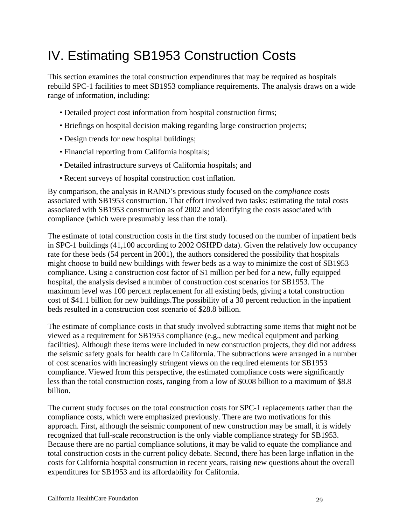# IV. Estimating SB1953 Construction Costs

This section examines the total construction expenditures that may be required as hospitals rebuild SPC-1 facilities to meet SB1953 compliance requirements. The analysis draws on a wide range of information, including:

- Detailed project cost information from hospital construction firms;
- Briefings on hospital decision making regarding large construction projects;
- Design trends for new hospital buildings;
- Financial reporting from California hospitals;
- Detailed infrastructure surveys of California hospitals; and
- Recent surveys of hospital construction cost inflation.

By comparison, the analysis in RAND's previous study focused on the *compliance* costs associated with SB1953 construction. That effort involved two tasks: estimating the total costs associated with SB1953 construction as of 2002 and identifying the costs associated with compliance (which were presumably less than the total).

The estimate of total construction costs in the first study focused on the number of inpatient beds in SPC-1 buildings (41,100 according to 2002 OSHPD data). Given the relatively low occupancy rate for these beds (54 percent in 2001), the authors considered the possibility that hospitals might choose to build new buildings with fewer beds as a way to minimize the cost of SB1953 compliance. Using a construction cost factor of \$1 million per bed for a new, fully equipped hospital, the analysis devised a number of construction cost scenarios for SB1953. The maximum level was 100 percent replacement for all existing beds, giving a total construction cost of \$41.1 billion for new buildings.The possibility of a 30 percent reduction in the inpatient beds resulted in a construction cost scenario of \$28.8 billion.

The estimate of compliance costs in that study involved subtracting some items that might not be viewed as a requirement for SB1953 compliance (e.g., new medical equipment and parking facilities). Although these items were included in new construction projects, they did not address the seismic safety goals for health care in California. The subtractions were arranged in a number of cost scenarios with increasingly stringent views on the required elements for SB1953 compliance. Viewed from this perspective, the estimated compliance costs were significantly less than the total construction costs, ranging from a low of \$0.08 billion to a maximum of \$8.8 billion.

The current study focuses on the total construction costs for SPC-1 replacements rather than the compliance costs, which were emphasized previously. There are two motivations for this approach. First, although the seismic component of new construction may be small, it is widely recognized that full-scale reconstruction is the only viable compliance strategy for SB1953. Because there are no partial compliance solutions, it may be valid to equate the compliance and total construction costs in the current policy debate. Second, there has been large inflation in the costs for California hospital construction in recent years, raising new questions about the overall expenditures for SB1953 and its affordability for California.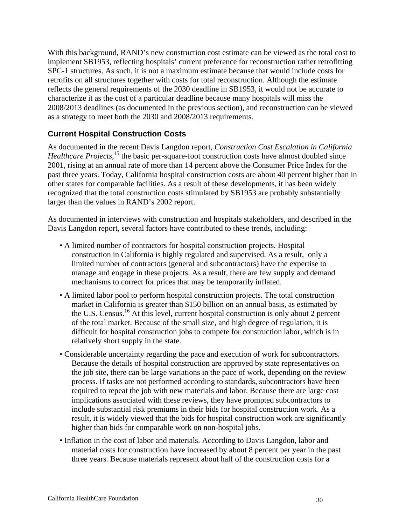With this background, RAND's new construction cost estimate can be viewed as the total cost to implement SB1953, reflecting hospitals' current preference for reconstruction rather retrofitting SPC-1 structures. As such, it is not a maximum estimate because that would include costs for retrofits on all structures together with costs for total reconstruction. Although the estimate reflects the general requirements of the 2030 deadline in SB1953, it would not be accurate to characterize it as the cost of a particular deadline because many hospitals will miss the 2008/2013 deadlines (as documented in the previous section), and reconstruction can be viewed as a strategy to meet both the 2030 and 2008/2013 requirements.

### **Current Hospital Construction Costs**

As documented in the recent Davis Langdon report, *Construction Cost Escalation in California Healthcare Projects*,<sup>15</sup> the basic per-square-foot construction costs have almost doubled since 2001, rising at an annual rate of more than 14 percent above the Consumer Price Index for the past three years. Today, California hospital construction costs are about 40 percent higher than in other states for comparable facilities. As a result of these developments, it has been widely recognized that the total construction costs stimulated by SB1953 are probably substantially larger than the values in RAND's 2002 report.

As documented in interviews with construction and hospitals stakeholders, and described in the Davis Langdon report, several factors have contributed to these trends, including:

- A limited number of contractors for hospital construction projects. Hospital construction in California is highly regulated and supervised. As a result, only a limited number of contractors (general and subcontractors) have the expertise to manage and engage in these projects. As a result, there are few supply and demand mechanisms to correct for prices that may be temporarily inflated.
- A limited labor pool to perform hospital construction projects. The total construction market in California is greater than \$150 billion on an annual basis, as estimated by the U.S. Census.<sup>16</sup> At this level, current hospital construction is only about 2 percent of the total market. Because of the small size, and high degree of regulation, it is difficult for hospital construction jobs to compete for construction labor, which is in relatively short supply in the state.
- Considerable uncertainty regarding the pace and execution of work for subcontractors. Because the details of hospital construction are approved by state representatives on the job site, there can be large variations in the pace of work, depending on the review process. If tasks are not performed according to standards, subcontractors have been required to repeat the job with new materials and labor. Because there are large cost implications associated with these reviews, they have prompted subcontractors to include substantial risk premiums in their bids for hospital construction work. As a result, it is widely viewed that the bids for hospital construction work are significantly higher than bids for comparable work on non-hospital jobs.
- Inflation in the cost of labor and materials. According to Davis Langdon, labor and material costs for construction have increased by about 8 percent per year in the past three years. Because materials represent about half of the construction costs for a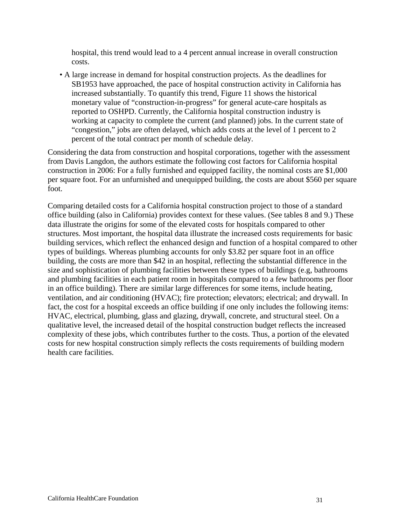hospital, this trend would lead to a 4 percent annual increase in overall construction costs.

• A large increase in demand for hospital construction projects. As the deadlines for SB1953 have approached, the pace of hospital construction activity in California has increased substantially. To quantify this trend, Figure 11 shows the historical monetary value of "construction-in-progress" for general acute-care hospitals as reported to OSHPD. Currently, the California hospital construction industry is working at capacity to complete the current (and planned) jobs. In the current state of "congestion," jobs are often delayed, which adds costs at the level of 1 percent to 2 percent of the total contract per month of schedule delay.

Considering the data from construction and hospital corporations, together with the assessment from Davis Langdon, the authors estimate the following cost factors for California hospital construction in 2006: For a fully furnished and equipped facility, the nominal costs are \$1,000 per square foot. For an unfurnished and unequipped building, the costs are about \$560 per square foot.

Comparing detailed costs for a California hospital construction project to those of a standard office building (also in California) provides context for these values. (See tables 8 and 9.) These data illustrate the origins for some of the elevated costs for hospitals compared to other structures. Most important, the hospital data illustrate the increased costs requirements for basic building services, which reflect the enhanced design and function of a hospital compared to other types of buildings. Whereas plumbing accounts for only \$3.82 per square foot in an office building, the costs are more than \$42 in an hospital, reflecting the substantial difference in the size and sophistication of plumbing facilities between these types of buildings (e.g, bathrooms and plumbing facilities in each patient room in hospitals compared to a few bathrooms per floor in an office building). There are similar large differences for some items, include heating, ventilation, and air conditioning (HVAC); fire protection; elevators; electrical; and drywall. In fact, the cost for a hospital exceeds an office building if one only includes the following items: HVAC, electrical, plumbing, glass and glazing, drywall, concrete, and structural steel. On a qualitative level, the increased detail of the hospital construction budget reflects the increased complexity of these jobs, which contributes further to the costs. Thus, a portion of the elevated costs for new hospital construction simply reflects the costs requirements of building modern health care facilities.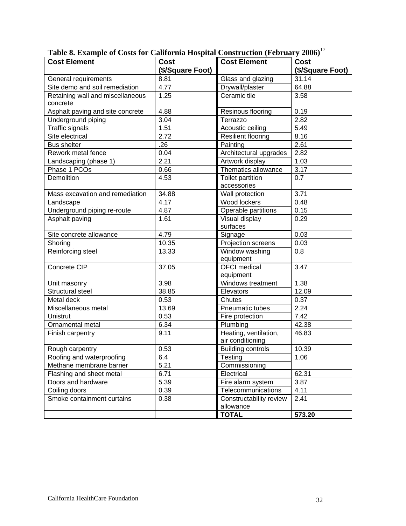| $\frac{1}{2}$ of $\frac{1}{2}$ and $\frac{1}{2}$ of $\frac{1}{2}$ control $\frac{1}{2}$ and $\frac{1}{2}$ and $\frac{1}{2}$ and $\frac{1}{2}$ and $\frac{1}{2}$ and $\frac{1}{2}$ and $\frac{1}{2}$ and $\frac{1}{2}$ and $\frac{1}{2}$ and $\frac{1}{2}$ and $\frac{1}{2}$ and $\frac{1}{2}$<br><b>Cost Element</b> | <b>Cost</b>      | <b>Cost Element</b>                  | <b>Cost</b>      |
|----------------------------------------------------------------------------------------------------------------------------------------------------------------------------------------------------------------------------------------------------------------------------------------------------------------------|------------------|--------------------------------------|------------------|
|                                                                                                                                                                                                                                                                                                                      | (\$/Square Foot) |                                      | (\$/Square Foot) |
| General requirements                                                                                                                                                                                                                                                                                                 | 8.81             | Glass and glazing                    | 31.14            |
| Site demo and soil remediation                                                                                                                                                                                                                                                                                       | 4.77             | Drywall/plaster                      | 64.88            |
| Retaining wall and miscellaneous                                                                                                                                                                                                                                                                                     | 1.25             | Ceramic tile                         | 3.58             |
| concrete                                                                                                                                                                                                                                                                                                             |                  |                                      |                  |
| Asphalt paving and site concrete                                                                                                                                                                                                                                                                                     | 4.88             | Resinous flooring                    | 0.19             |
| Underground piping                                                                                                                                                                                                                                                                                                   | 3.04             | Terrazzo                             | 2.82             |
| <b>Traffic signals</b>                                                                                                                                                                                                                                                                                               | 1.51             | Acoustic ceiling                     | 5.49             |
| Site electrical                                                                                                                                                                                                                                                                                                      | 2.72             | <b>Resilient flooring</b>            | 8.16             |
| <b>Bus shelter</b>                                                                                                                                                                                                                                                                                                   | .26              | Painting                             | 2.61             |
| Rework metal fence                                                                                                                                                                                                                                                                                                   | 0.04             | Architectural upgrades               | 2.82             |
| Landscaping (phase 1)                                                                                                                                                                                                                                                                                                | 2.21             | Artwork display                      | 1.03             |
| Phase 1 PCOs                                                                                                                                                                                                                                                                                                         | 0.66             | Thematics allowance                  | 3.17             |
| Demolition                                                                                                                                                                                                                                                                                                           | 4.53             | <b>Toilet partition</b>              | 0.7              |
|                                                                                                                                                                                                                                                                                                                      |                  | accessories                          |                  |
| Mass excavation and remediation                                                                                                                                                                                                                                                                                      | 34.88            | Wall protection                      | 3.71             |
| Landscape                                                                                                                                                                                                                                                                                                            | 4.17             | Wood lockers                         | 0.48             |
| Underground piping re-route                                                                                                                                                                                                                                                                                          | 4.87             | Operable partitions                  | 0.15             |
| Asphalt paving                                                                                                                                                                                                                                                                                                       | 1.61             | Visual display                       | 0.29             |
|                                                                                                                                                                                                                                                                                                                      |                  | surfaces                             |                  |
| Site concrete allowance                                                                                                                                                                                                                                                                                              | 4.79             | Signage                              | 0.03             |
| Shoring                                                                                                                                                                                                                                                                                                              | 10.35            | Projection screens                   | 0.03             |
| Reinforcing steel                                                                                                                                                                                                                                                                                                    | 13.33            | Window washing                       | 0.8              |
|                                                                                                                                                                                                                                                                                                                      |                  | equipment                            |                  |
| Concrete CIP                                                                                                                                                                                                                                                                                                         | 37.05            | <b>OFCI</b> medical                  | 3.47             |
|                                                                                                                                                                                                                                                                                                                      |                  | equipment                            |                  |
| Unit masonry                                                                                                                                                                                                                                                                                                         | 3.98             | Windows treatment                    | 1.38             |
| Structural steel                                                                                                                                                                                                                                                                                                     | 38.85            | Elevators                            | 12.09            |
| Metal deck                                                                                                                                                                                                                                                                                                           | 0.53             | Chutes                               | 0.37             |
| Miscellaneous metal                                                                                                                                                                                                                                                                                                  | 13.69            | Pneumatic tubes                      | 2.24             |
| Unistrut                                                                                                                                                                                                                                                                                                             | 0.53             | Fire protection                      | 7.42             |
| Ornamental metal                                                                                                                                                                                                                                                                                                     | 6.34             | Plumbing                             | 42.38            |
| Finish carpentry                                                                                                                                                                                                                                                                                                     | 9.11             | Heating, ventilation,                | 46.83            |
|                                                                                                                                                                                                                                                                                                                      |                  | air conditioning                     |                  |
| Rough carpentry                                                                                                                                                                                                                                                                                                      | 0.53             | <b>Building controls</b>             | 10.39            |
| Roofing and waterproofing                                                                                                                                                                                                                                                                                            | 6.4              | Testing                              | 1.06             |
| Methane membrane barrier                                                                                                                                                                                                                                                                                             | 5.21             | Commissioning                        |                  |
| Flashing and sheet metal                                                                                                                                                                                                                                                                                             | 6.71             | Electrical                           | 62.31            |
| Doors and hardware                                                                                                                                                                                                                                                                                                   | 5.39             | Fire alarm system                    | 3.87             |
| Coiling doors<br>Smoke containment curtains                                                                                                                                                                                                                                                                          | 0.39             | Telecommunications                   | 4.11             |
|                                                                                                                                                                                                                                                                                                                      | 0.38             | Constructability review<br>allowance | 2.41             |
|                                                                                                                                                                                                                                                                                                                      |                  | <b>TOTAL</b>                         | 573.20           |
|                                                                                                                                                                                                                                                                                                                      |                  |                                      |                  |

**Table 8. Example of Costs for California Hospital Construction (February 2006)**<sup>17</sup>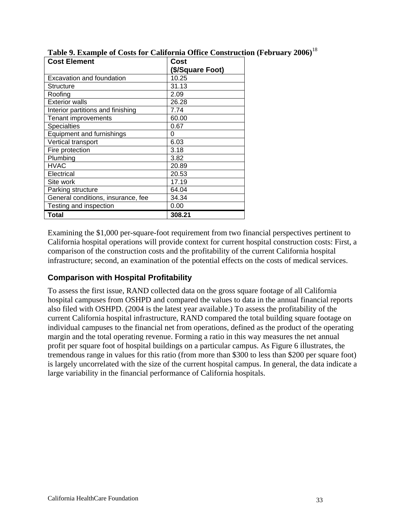| <b>Cost Element</b>                | Cost             |  |
|------------------------------------|------------------|--|
|                                    | (\$/Square Foot) |  |
| Excavation and foundation          | 10.25            |  |
| Structure                          | 31.13            |  |
| Roofing                            | 2.09             |  |
| <b>Exterior walls</b>              | 26.28            |  |
| Interior partitions and finishing  | 7.74             |  |
| Tenant improvements                | 60.00            |  |
| <b>Specialties</b>                 | 0.67             |  |
| Equipment and furnishings          | 0                |  |
| Vertical transport                 | 6.03             |  |
| Fire protection                    | 3.18             |  |
| Plumbing                           | 3.82             |  |
| <b>HVAC</b>                        | 20.89            |  |
| Electrical                         | 20.53            |  |
| Site work                          | 17.19            |  |
| Parking structure                  | 64.04            |  |
| General conditions, insurance, fee | 34.34            |  |
| Testing and inspection             | 0.00             |  |
| Total                              | 308.21           |  |

**Table 9. Example of Costs for California Office Construction (February 2006)**<sup>18</sup>

Examining the \$1,000 per-square-foot requirement from two financial perspectives pertinent to California hospital operations will provide context for current hospital construction costs: First, a comparison of the construction costs and the profitability of the current California hospital infrastructure; second, an examination of the potential effects on the costs of medical services.

### **Comparison with Hospital Profitability**

To assess the first issue, RAND collected data on the gross square footage of all California hospital campuses from OSHPD and compared the values to data in the annual financial reports also filed with OSHPD. (2004 is the latest year available.) To assess the profitability of the current California hospital infrastructure, RAND compared the total building square footage on individual campuses to the financial net from operations, defined as the product of the operating margin and the total operating revenue. Forming a ratio in this way measures the net annual profit per square foot of hospital buildings on a particular campus. As Figure 6 illustrates, the tremendous range in values for this ratio (from more than \$300 to less than \$200 per square foot) is largely uncorrelated with the size of the current hospital campus. In general, the data indicate a large variability in the financial performance of California hospitals.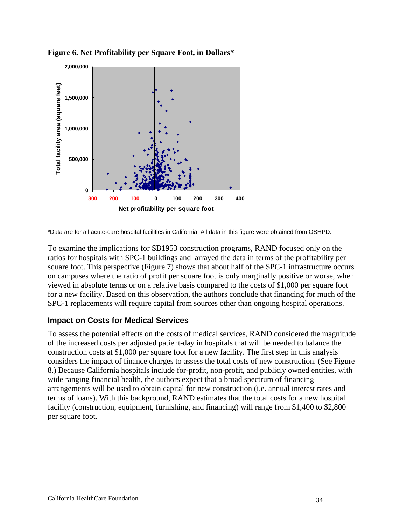

**Figure 6. Net Profitability per Square Foot, in Dollars\*** 

\*Data are for all acute-care hospital facilities in California. All data in this figure were obtained from OSHPD.

To examine the implications for SB1953 construction programs, RAND focused only on the ratios for hospitals with SPC-1 buildings and arrayed the data in terms of the profitability per square foot. This perspective (Figure 7) shows that about half of the SPC-1 infrastructure occurs on campuses where the ratio of profit per square foot is only marginally positive or worse, when viewed in absolute terms or on a relative basis compared to the costs of \$1,000 per square foot for a new facility. Based on this observation, the authors conclude that financing for much of the SPC-1 replacements will require capital from sources other than ongoing hospital operations.

#### **Impact on Costs for Medical Services**

To assess the potential effects on the costs of medical services, RAND considered the magnitude of the increased costs per adjusted patient-day in hospitals that will be needed to balance the construction costs at \$1,000 per square foot for a new facility. The first step in this analysis considers the impact of finance charges to assess the total costs of new construction. (See Figure 8.) Because California hospitals include for-profit, non-profit, and publicly owned entities, with wide ranging financial health, the authors expect that a broad spectrum of financing arrangements will be used to obtain capital for new construction (i.e. annual interest rates and terms of loans). With this background, RAND estimates that the total costs for a new hospital facility (construction, equipment, furnishing, and financing) will range from \$1,400 to \$2,800 per square foot.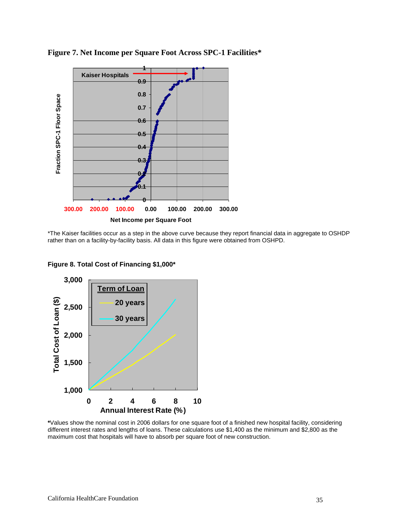

**Figure 7. Net Income per Square Foot Across SPC-1 Facilities\*** 

\*The Kaiser facilities occur as a step in the above curve because they report financial data in aggregate to OSHDP rather than on a facility-by-facility basis. All data in this figure were obtained from OSHPD.



**Figure 8. Total Cost of Financing \$1,000\***

**\***Values show the nominal cost in 2006 dollars for one square foot of a finished new hospital facility, considering different interest rates and lengths of loans. These calculations use \$1,400 as the minimum and \$2,800 as the maximum cost that hospitals will have to absorb per square foot of new construction.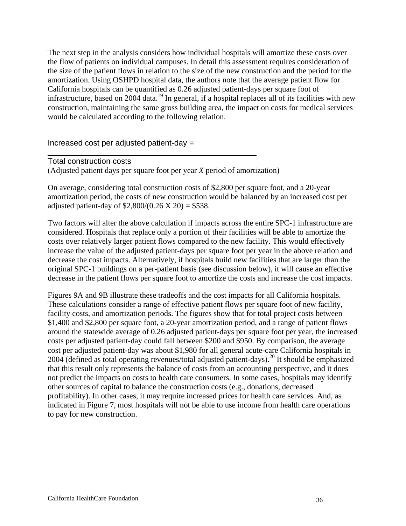The next step in the analysis considers how individual hospitals will amortize these costs over the flow of patients on individual campuses. In detail this assessment requires consideration of the size of the patient flows in relation to the size of the new construction and the period for the amortization. Using OSHPD hospital data, the authors note that the average patient flow for California hospitals can be quantified as 0.26 adjusted patient-days per square foot of infrastructure, based on 2004 data.<sup>19</sup> In general, if a hospital replaces all of its facilities with new construction, maintaining the same gross building area, the impact on costs for medical services would be calculated according to the following relation.

Increased cost per adjusted patient-day =

Total construction costs

(Adjusted patient days per square foot per year *X* period of amortization)

On average, considering total construction costs of \$2,800 per square foot, and a 20-year amortization period, the costs of new construction would be balanced by an increased cost per adjusted patient-day of  $$2,800/(0.26 \text{ X } 20) = $538$ .

Two factors will alter the above calculation if impacts across the entire SPC-1 infrastructure are considered. Hospitals that replace only a portion of their facilities will be able to amortize the costs over relatively larger patient flows compared to the new facility. This would effectively increase the value of the adjusted patient-days per square foot per year in the above relation and decrease the cost impacts. Alternatively, if hospitals build new facilities that are larger than the original SPC-1 buildings on a per-patient basis (see discussion below), it will cause an effective decrease in the patient flows per square foot to amortize the costs and increase the cost impacts.

Figures 9A and 9B illustrate these tradeoffs and the cost impacts for all California hospitals. These calculations consider a range of effective patient flows per square foot of new facility, facility costs, and amortization periods. The figures show that for total project costs between \$1,400 and \$2,800 per square foot, a 20-year amortization period, and a range of patient flows around the statewide average of 0.26 adjusted patient-days per square foot per year, the increased costs per adjusted patient-day could fall between \$200 and \$950. By comparison, the average cost per adjusted patient-day was about \$1,980 for all general acute-care California hospitals in 2004 (defined as total operating revenues/total adjusted patient-days).20 It should be emphasized that this result only represents the balance of costs from an accounting perspective, and it does not predict the impacts on costs to health care consumers. In some cases, hospitals may identify other sources of capital to balance the construction costs (e.g., donations, decreased profitability). In other cases, it may require increased prices for health care services. And, as indicated in Figure 7, most hospitals will not be able to use income from health care operations to pay for new construction.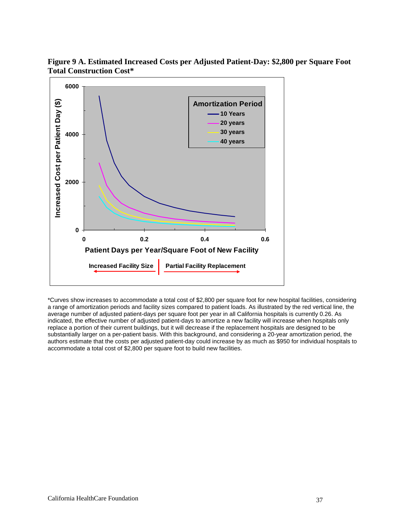

**Figure 9 A. Estimated Increased Costs per Adjusted Patient-Day: \$2,800 per Square Foot Total Construction Cost\*** 

\*Curves show increases to accommodate a total cost of \$2,800 per square foot for new hospital facilities, considering a range of amortization periods and facility sizes compared to patient loads. As illustrated by the red vertical line, the average number of adjusted patient-days per square foot per year in all California hospitals is currently 0.26. As indicated, the effective number of adjusted patient-days to amortize a new facility will increase when hospitals only replace a portion of their current buildings, but it will decrease if the replacement hospitals are designed to be substantially larger on a per-patient basis. With this background, and considering a 20-year amortization period, the authors estimate that the costs per adjusted patient-day could increase by as much as \$950 for individual hospitals to accommodate a total cost of \$2,800 per square foot to build new facilities.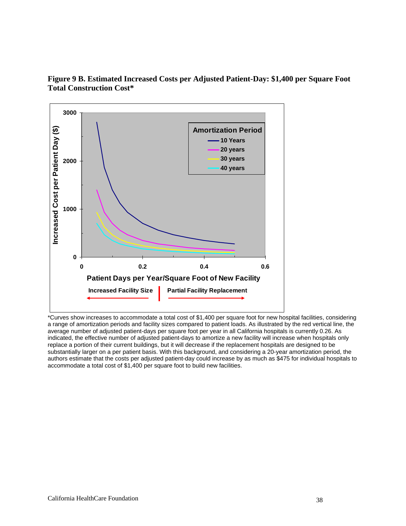

**Figure 9 B. Estimated Increased Costs per Adjusted Patient-Day: \$1,400 per Square Foot Total Construction Cost\*** 

\*Curves show increases to accommodate a total cost of \$1,400 per square foot for new hospital facilities, considering a range of amortization periods and facility sizes compared to patient loads. As illustrated by the red vertical line, the average number of adjusted patient-days per square foot per year in all California hospitals is currently 0.26. As indicated, the effective number of adjusted patient-days to amortize a new facility will increase when hospitals only replace a portion of their current buildings, but it will decrease if the replacement hospitals are designed to be substantially larger on a per patient basis. With this background, and considering a 20-year amortization period, the authors estimate that the costs per adjusted patient-day could increase by as much as \$475 for individual hospitals to accommodate a total cost of \$1,400 per square foot to build new facilities.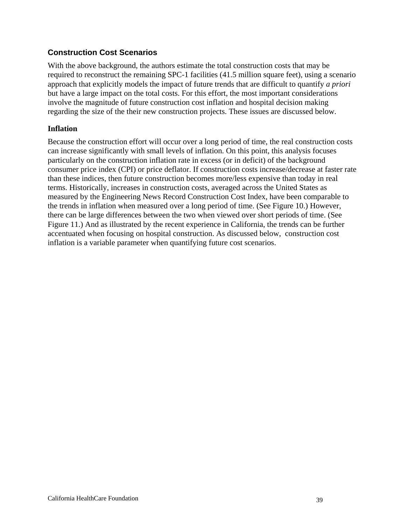### **Construction Cost Scenarios**

With the above background, the authors estimate the total construction costs that may be required to reconstruct the remaining SPC-1 facilities (41.5 million square feet), using a scenario approach that explicitly models the impact of future trends that are difficult to quantify *a priori*  but have a large impact on the total costs. For this effort, the most important considerations involve the magnitude of future construction cost inflation and hospital decision making regarding the size of the their new construction projects. These issues are discussed below.

#### **Inflation**

Because the construction effort will occur over a long period of time, the real construction costs can increase significantly with small levels of inflation. On this point, this analysis focuses particularly on the construction inflation rate in excess (or in deficit) of the background consumer price index (CPI) or price deflator. If construction costs increase/decrease at faster rate than these indices, then future construction becomes more/less expensive than today in real terms. Historically, increases in construction costs, averaged across the United States as measured by the Engineering News Record Construction Cost Index, have been comparable to the trends in inflation when measured over a long period of time. (See Figure 10.) However, there can be large differences between the two when viewed over short periods of time. (See Figure 11.) And as illustrated by the recent experience in California, the trends can be further accentuated when focusing on hospital construction. As discussed below, construction cost inflation is a variable parameter when quantifying future cost scenarios.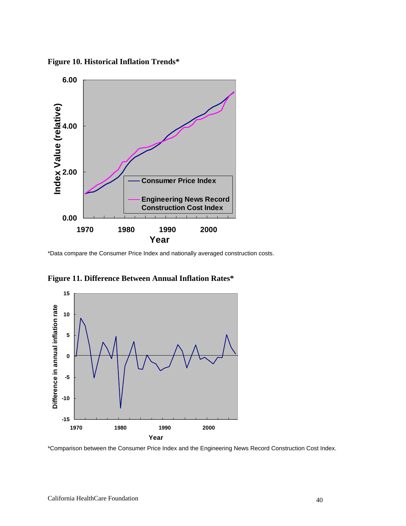



\*Data compare the Consumer Price Index and nationally averaged construction costs.



**Figure 11. Difference Between Annual Inflation Rates\*** 

\*Comparison between the Consumer Price Index and the Engineering News Record Construction Cost Index.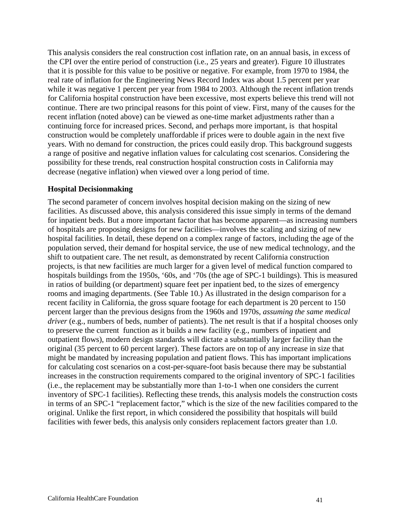This analysis considers the real construction cost inflation rate, on an annual basis, in excess of the CPI over the entire period of construction (i.e., 25 years and greater). Figure 10 illustrates that it is possible for this value to be positive or negative. For example, from 1970 to 1984, the real rate of inflation for the Engineering News Record Index was about 1.5 percent per year while it was negative 1 percent per year from 1984 to 2003. Although the recent inflation trends for California hospital construction have been excessive, most experts believe this trend will not continue. There are two principal reasons for this point of view. First, many of the causes for the recent inflation (noted above) can be viewed as one-time market adjustments rather than a continuing force for increased prices. Second, and perhaps more important, is that hospital construction would be completely unaffordable if prices were to double again in the next five years. With no demand for construction, the prices could easily drop. This background suggests a range of positive and negative inflation values for calculating cost scenarios. Considering the possibility for these trends, real construction hospital construction costs in California may decrease (negative inflation) when viewed over a long period of time.

#### **Hospital Decisionmaking**

The second parameter of concern involves hospital decision making on the sizing of new facilities. As discussed above, this analysis considered this issue simply in terms of the demand for inpatient beds. But a more important factor that has become apparent—as increasing numbers of hospitals are proposing designs for new facilities—involves the scaling and sizing of new hospital facilities. In detail, these depend on a complex range of factors, including the age of the population served, their demand for hospital service, the use of new medical technology, and the shift to outpatient care. The net result, as demonstrated by recent California construction projects, is that new facilities are much larger for a given level of medical function compared to hospitals buildings from the 1950s, '60s, and '70s (the age of SPC-1 buildings). This is measured in ratios of building (or department) square feet per inpatient bed, to the sizes of emergency rooms and imaging departments. (See Table 10.) As illustrated in the design comparison for a recent facility in California, the gross square footage for each department is 20 percent to 150 percent larger than the previous designs from the 1960s and 1970s, *assuming the same medical driver* (e.g., numbers of beds, number of patients). The net result is that if a hospital chooses only to preserve the current function as it builds a new facility (e.g., numbers of inpatient and outpatient flows), modern design standards will dictate a substantially larger facility than the original (35 percent to 60 percent larger). These factors are on top of any increase in size that might be mandated by increasing population and patient flows. This has important implications for calculating cost scenarios on a cost-per-square-foot basis because there may be substantial increases in the construction requirements compared to the original inventory of SPC-1 facilities (i.e., the replacement may be substantially more than 1-to-1 when one considers the current inventory of SPC-1 facilities). Reflecting these trends, this analysis models the construction costs in terms of an SPC-1 "replacement factor," which is the size of the new facilities compared to the original. Unlike the first report, in which considered the possibility that hospitals will build facilities with fewer beds, this analysis only considers replacement factors greater than 1.0.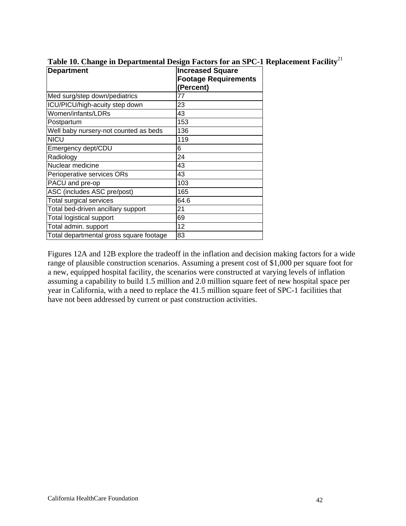| <b>Department</b>                       | <b>Increased Square</b><br><b>Footage Requirements</b><br>(Percent) |
|-----------------------------------------|---------------------------------------------------------------------|
| Med surg/step down/pediatrics           | 77                                                                  |
| ICU/PICU/high-acuity step down          | 23                                                                  |
| Women/infants/LDRs                      | 43                                                                  |
| Postpartum                              | 153                                                                 |
| Well baby nursery-not counted as beds   | 136                                                                 |
| <b>NICU</b>                             | 119                                                                 |
| Emergency dept/CDU                      | 6                                                                   |
| Radiology                               | 24                                                                  |
| Nuclear medicine                        | 43                                                                  |
| Perioperative services ORs              | 43                                                                  |
| PACU and pre-op                         | 103                                                                 |
| ASC (includes ASC pre/post)             | 165                                                                 |
| <b>Total surgical services</b>          | 64.6                                                                |
| Total bed-driven ancillary support      | 21                                                                  |
| <b>Total logistical support</b>         | 69                                                                  |
| Total admin. support                    | 12                                                                  |
| Total departmental gross square footage | 83                                                                  |

**Table 10. Change in Departmental Design Factors for an SPC-1 Replacement Facility**<sup>21</sup>

Figures 12A and 12B explore the tradeoff in the inflation and decision making factors for a wide range of plausible construction scenarios. Assuming a present cost of \$1,000 per square foot for a new, equipped hospital facility, the scenarios were constructed at varying levels of inflation assuming a capability to build 1.5 million and 2.0 million square feet of new hospital space per year in California, with a need to replace the 41.5 million square feet of SPC-1 facilities that have not been addressed by current or past construction activities.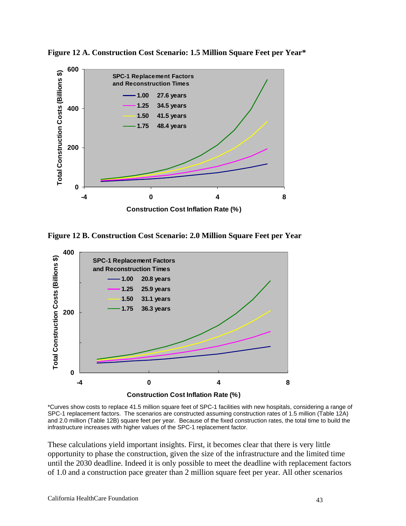

Figure 12 A. Construction Cost Scenario: 1.5 Million Square Feet per Year\*

**Figure 12 B. Construction Cost Scenario: 2.0 Million Square Feet per Year** 



\*Curves show costs to replace 41.5 million square feet of SPC-1 facilities with new hospitals, considering a range of SPC-1 replacement factors. The scenarios are constructed assuming construction rates of 1.5 million (Table 12A) and 2.0 million (Table 12B) square feet per year. Because of the fixed construction rates, the total time to build the infrastructure increases with higher values of the SPC-1 replacement factor.

These calculations yield important insights. First, it becomes clear that there is very little opportunity to phase the construction, given the size of the infrastructure and the limited time until the 2030 deadline. Indeed it is only possible to meet the deadline with replacement factors of 1.0 and a construction pace greater than 2 million square feet per year. All other scenarios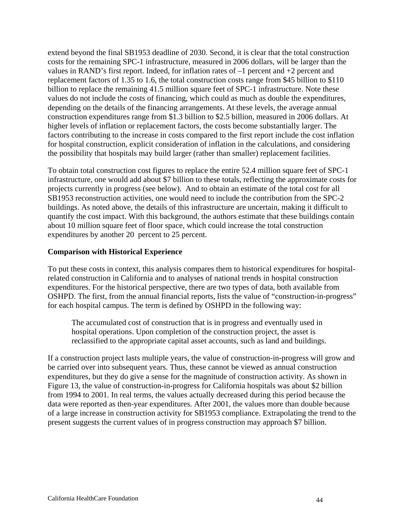extend beyond the final SB1953 deadline of 2030. Second, it is clear that the total construction costs for the remaining SPC-1 infrastructure, measured in 2006 dollars, will be larger than the values in RAND's first report. Indeed, for inflation rates of –1 percent and +2 percent and replacement factors of 1.35 to 1.6, the total construction costs range from \$45 billion to \$110 billion to replace the remaining 41.5 million square feet of SPC-1 infrastructure. Note these values do not include the costs of financing, which could as much as double the expenditures, depending on the details of the financing arrangements. At these levels, the average annual construction expenditures range from \$1.3 billion to \$2.5 billion, measured in 2006 dollars. At higher levels of inflation or replacement factors, the costs become substantially larger. The factors contributing to the increase in costs compared to the first report include the cost inflation for hospital construction, explicit consideration of inflation in the calculations, and considering the possibility that hospitals may build larger (rather than smaller) replacement facilities.

To obtain total construction cost figures to replace the entire 52.4 million square feet of SPC-1 infrastructure, one would add about \$7 billion to these totals, reflecting the approximate costs for projects currently in progress (see below). And to obtain an estimate of the total cost for all SB1953 reconstruction activities, one would need to include the contribution from the SPC-2 buildings. As noted above, the details of this infrastructure are uncertain, making it difficult to quantify the cost impact. With this background, the authors estimate that these buildings contain about 10 million square feet of floor space, which could increase the total construction expenditures by another 20 percent to 25 percent.

### **Comparison with Historical Experience**

To put these costs in context, this analysis compares them to historical expenditures for hospitalrelated construction in California and to analyses of national trends in hospital construction expenditures. For the historical perspective, there are two types of data, both available from OSHPD. The first, from the annual financial reports, lists the value of "construction-in-progress" for each hospital campus. The term is defined by OSHPD in the following way:

The accumulated cost of construction that is in progress and eventually used in hospital operations. Upon completion of the construction project, the asset is reclassified to the appropriate capital asset accounts, such as land and buildings.

If a construction project lasts multiple years, the value of construction-in-progress will grow and be carried over into subsequent years. Thus, these cannot be viewed as annual construction expenditures, but they do give a sense for the magnitude of construction activity. As shown in Figure 13, the value of construction-in-progress for California hospitals was about \$2 billion from 1994 to 2001. In real terms, the values actually decreased during this period because the data were reported as then-year expenditures. After 2001, the values more than double because of a large increase in construction activity for SB1953 compliance. Extrapolating the trend to the present suggests the current values of in progress construction may approach \$7 billion.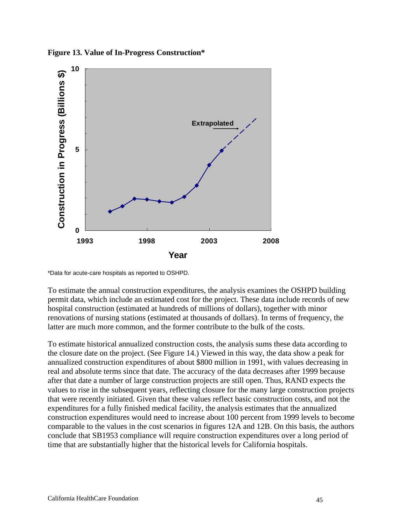**Figure 13. Value of In-Progress Construction\*** 



\*Data for acute-care hospitals as reported to OSHPD.

To estimate the annual construction expenditures, the analysis examines the OSHPD building permit data, which include an estimated cost for the project. These data include records of new hospital construction (estimated at hundreds of millions of dollars), together with minor renovations of nursing stations (estimated at thousands of dollars). In terms of frequency, the latter are much more common, and the former contribute to the bulk of the costs.

To estimate historical annualized construction costs, the analysis sums these data according to the closure date on the project. (See Figure 14.) Viewed in this way, the data show a peak for annualized construction expenditures of about \$800 million in 1991, with values decreasing in real and absolute terms since that date. The accuracy of the data decreases after 1999 because after that date a number of large construction projects are still open. Thus, RAND expects the values to rise in the subsequent years, reflecting closure for the many large construction projects that were recently initiated. Given that these values reflect basic construction costs, and not the expenditures for a fully finished medical facility, the analysis estimates that the annualized construction expenditures would need to increase about 100 percent from 1999 levels to become comparable to the values in the cost scenarios in figures 12A and 12B. On this basis, the authors conclude that SB1953 compliance will require construction expenditures over a long period of time that are substantially higher that the historical levels for California hospitals.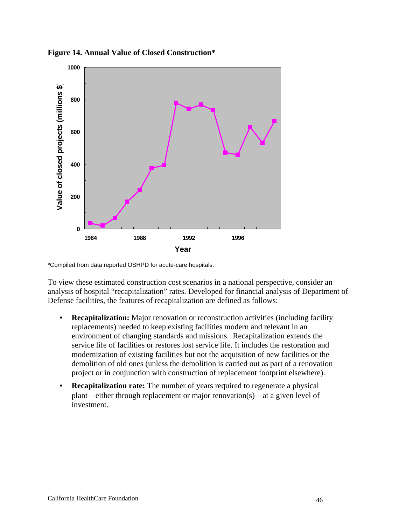

**Figure 14. Annual Value of Closed Construction\*** 

\*Compiled from data reported OSHPD for acute-care hospitals.

To view these estimated construction cost scenarios in a national perspective, consider an analysis of hospital "recapitalization" rates. Developed for financial analysis of Department of Defense facilities, the features of recapitalization are defined as follows:

- **Recapitalization:** Major renovation or reconstruction activities (including facility replacements) needed to keep existing facilities modern and relevant in an environment of changing standards and missions. Recapitalization extends the service life of facilities or restores lost service life. It includes the restoration and modernization of existing facilities but not the acquisition of new facilities or the demolition of old ones (unless the demolition is carried out as part of a renovation project or in conjunction with construction of replacement footprint elsewhere).
- **Recapitalization rate:** The number of years required to regenerate a physical plant—either through replacement or major renovation(s)—at a given level of investment.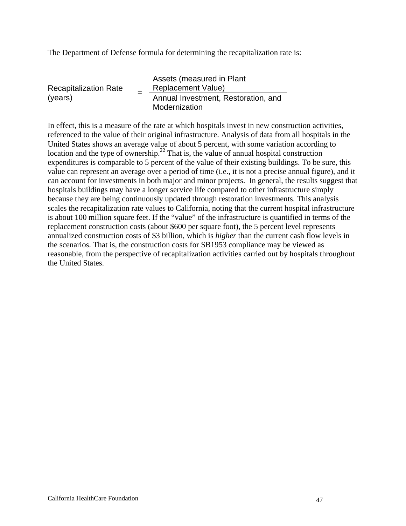The Department of Defense formula for determining the recapitalization rate is:

| <b>Recapitalization Rate</b><br>(years) |                                                      | Assets (measured in Plant<br><b>Replacement Value)</b> |
|-----------------------------------------|------------------------------------------------------|--------------------------------------------------------|
|                                         | Annual Investment, Restoration, and<br>Modernization |                                                        |

In effect, this is a measure of the rate at which hospitals invest in new construction activities, referenced to the value of their original infrastructure. Analysis of data from all hospitals in the United States shows an average value of about 5 percent, with some variation according to location and the type of ownership.<sup>22</sup> That is, the value of annual hospital construction expenditures is comparable to 5 percent of the value of their existing buildings. To be sure, this value can represent an average over a period of time (i.e., it is not a precise annual figure), and it can account for investments in both major and minor projects. In general, the results suggest that hospitals buildings may have a longer service life compared to other infrastructure simply because they are being continuously updated through restoration investments. This analysis scales the recapitalization rate values to California, noting that the current hospital infrastructure is about 100 million square feet. If the "value" of the infrastructure is quantified in terms of the replacement construction costs (about \$600 per square foot), the 5 percent level represents annualized construction costs of \$3 billion, which is *higher* than the current cash flow levels in the scenarios. That is, the construction costs for SB1953 compliance may be viewed as reasonable, from the perspective of recapitalization activities carried out by hospitals throughout the United States.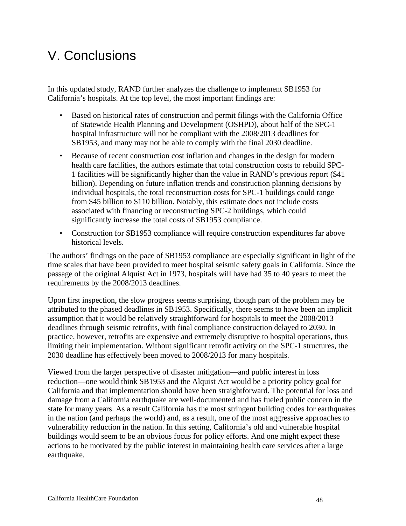# V. Conclusions

In this updated study, RAND further analyzes the challenge to implement SB1953 for California's hospitals. At the top level, the most important findings are:

- Based on historical rates of construction and permit filings with the California Office of Statewide Health Planning and Development (OSHPD), about half of the SPC-1 hospital infrastructure will not be compliant with the 2008/2013 deadlines for SB1953, and many may not be able to comply with the final 2030 deadline.
- Because of recent construction cost inflation and changes in the design for modern health care facilities, the authors estimate that total construction costs to rebuild SPC-1 facilities will be significantly higher than the value in RAND's previous report (\$41 billion). Depending on future inflation trends and construction planning decisions by individual hospitals, the total reconstruction costs for SPC-1 buildings could range from \$45 billion to \$110 billion. Notably, this estimate does not include costs associated with financing or reconstructing SPC-2 buildings, which could significantly increase the total costs of SB1953 compliance.
- Construction for SB1953 compliance will require construction expenditures far above historical levels.

The authors' findings on the pace of SB1953 compliance are especially significant in light of the time scales that have been provided to meet hospital seismic safety goals in California. Since the passage of the original Alquist Act in 1973, hospitals will have had 35 to 40 years to meet the requirements by the 2008/2013 deadlines.

Upon first inspection, the slow progress seems surprising, though part of the problem may be attributed to the phased deadlines in SB1953. Specifically, there seems to have been an implicit assumption that it would be relatively straightforward for hospitals to meet the 2008/2013 deadlines through seismic retrofits, with final compliance construction delayed to 2030. In practice, however, retrofits are expensive and extremely disruptive to hospital operations, thus limiting their implementation. Without significant retrofit activity on the SPC-1 structures, the 2030 deadline has effectively been moved to 2008/2013 for many hospitals.

Viewed from the larger perspective of disaster mitigation—and public interest in loss reduction—one would think SB1953 and the Alquist Act would be a priority policy goal for California and that implementation should have been straightforward. The potential for loss and damage from a California earthquake are well-documented and has fueled public concern in the state for many years. As a result California has the most stringent building codes for earthquakes in the nation (and perhaps the world) and, as a result, one of the most aggressive approaches to vulnerability reduction in the nation. In this setting, California's old and vulnerable hospital buildings would seem to be an obvious focus for policy efforts. And one might expect these actions to be motivated by the public interest in maintaining health care services after a large earthquake.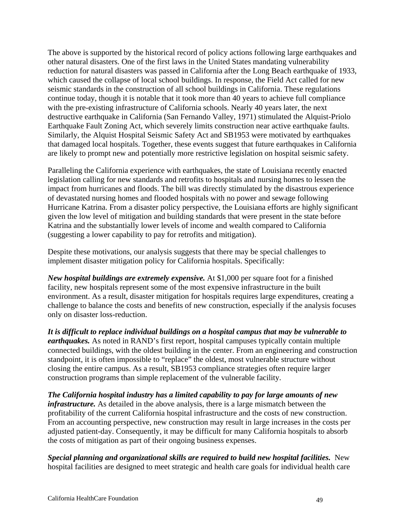The above is supported by the historical record of policy actions following large earthquakes and other natural disasters. One of the first laws in the United States mandating vulnerability reduction for natural disasters was passed in California after the Long Beach earthquake of 1933, which caused the collapse of local school buildings. In response, the Field Act called for new seismic standards in the construction of all school buildings in California. These regulations continue today, though it is notable that it took more than 40 years to achieve full compliance with the pre-existing infrastructure of California schools. Nearly 40 years later, the next destructive earthquake in California (San Fernando Valley, 1971) stimulated the Alquist-Priolo Earthquake Fault Zoning Act, which severely limits construction near active earthquake faults. Similarly, the Alquist Hospital Seismic Safety Act and SB1953 were motivated by earthquakes that damaged local hospitals. Together, these events suggest that future earthquakes in California are likely to prompt new and potentially more restrictive legislation on hospital seismic safety.

Paralleling the California experience with earthquakes, the state of Louisiana recently enacted legislation calling for new standards and retrofits to hospitals and nursing homes to lessen the impact from hurricanes and floods. The bill was directly stimulated by the disastrous experience of devastated nursing homes and flooded hospitals with no power and sewage following Hurricane Katrina. From a disaster policy perspective, the Louisiana efforts are highly significant given the low level of mitigation and building standards that were present in the state before Katrina and the substantially lower levels of income and wealth compared to California (suggesting a lower capability to pay for retrofits and mitigation).

Despite these motivations, our analysis suggests that there may be special challenges to implement disaster mitigation policy for California hospitals. Specifically:

*New hospital buildings are extremely expensive.* At \$1,000 per square foot for a finished facility, new hospitals represent some of the most expensive infrastructure in the built environment. As a result, disaster mitigation for hospitals requires large expenditures, creating a challenge to balance the costs and benefits of new construction, especially if the analysis focuses only on disaster loss-reduction.

*It is difficult to replace individual buildings on a hospital campus that may be vulnerable to earthquakes.* As noted in RAND's first report, hospital campuses typically contain multiple connected buildings, with the oldest building in the center. From an engineering and construction standpoint, it is often impossible to "replace" the oldest, most vulnerable structure without closing the entire campus. As a result, SB1953 compliance strategies often require larger construction programs than simple replacement of the vulnerable facility.

*The California hospital industry has a limited capability to pay for large amounts of new infrastructure.* As detailed in the above analysis, there is a large mismatch between the profitability of the current California hospital infrastructure and the costs of new construction. From an accounting perspective, new construction may result in large increases in the costs per adjusted patient-day. Consequently, it may be difficult for many California hospitals to absorb the costs of mitigation as part of their ongoing business expenses.

*Special planning and organizational skills are required to build new hospital facilities.* New hospital facilities are designed to meet strategic and health care goals for individual health care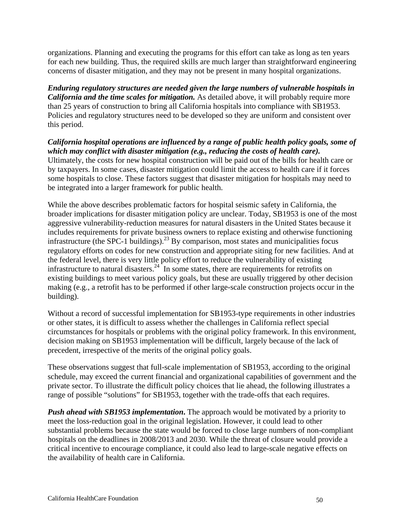organizations. Planning and executing the programs for this effort can take as long as ten years for each new building. Thus, the required skills are much larger than straightforward engineering concerns of disaster mitigation, and they may not be present in many hospital organizations.

*Enduring regulatory structures are needed given the large numbers of vulnerable hospitals in California and the time scales for mitigation.* As detailed above, it will probably require more than 25 years of construction to bring all California hospitals into compliance with SB1953. Policies and regulatory structures need to be developed so they are uniform and consistent over this period.

*California hospital operations are influenced by a range of public health policy goals, some of which may conflict with disaster mitigation (e.g., reducing the costs of health care).* Ultimately, the costs for new hospital construction will be paid out of the bills for health care or by taxpayers. In some cases, disaster mitigation could limit the access to health care if it forces some hospitals to close. These factors suggest that disaster mitigation for hospitals may need to be integrated into a larger framework for public health.

While the above describes problematic factors for hospital seismic safety in California, the broader implications for disaster mitigation policy are unclear. Today, SB1953 is one of the most aggressive vulnerability-reduction measures for natural disasters in the United States because it includes requirements for private business owners to replace existing and otherwise functioning infrastructure (the SPC-1 buildings).<sup>23</sup> By comparison, most states and municipalities focus regulatory efforts on codes for new construction and appropriate siting for new facilities. And at the federal level, there is very little policy effort to reduce the vulnerability of existing infrastructure to natural disasters.<sup>24</sup> In some states, there are requirements for retrofits on existing buildings to meet various policy goals, but these are usually triggered by other decision making (e.g., a retrofit has to be performed if other large-scale construction projects occur in the building).

Without a record of successful implementation for SB1953-type requirements in other industries or other states, it is difficult to assess whether the challenges in California reflect special circumstances for hospitals or problems with the original policy framework. In this environment, decision making on SB1953 implementation will be difficult, largely because of the lack of precedent, irrespective of the merits of the original policy goals.

These observations suggest that full-scale implementation of SB1953, according to the original schedule, may exceed the current financial and organizational capabilities of government and the private sector. To illustrate the difficult policy choices that lie ahead, the following illustrates a range of possible "solutions" for SB1953, together with the trade-offs that each requires.

*Push ahead with SB1953 implementation*. The approach would be motivated by a priority to meet the loss-reduction goal in the original legislation. However, it could lead to other substantial problems because the state would be forced to close large numbers of non-compliant hospitals on the deadlines in 2008/2013 and 2030. While the threat of closure would provide a critical incentive to encourage compliance, it could also lead to large-scale negative effects on the availability of health care in California.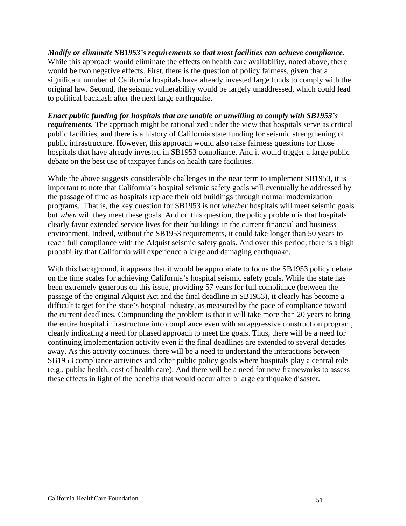*Modify or eliminate SB1953's requirements so that most facilities can achieve compliance***.** While this approach would eliminate the effects on health care availability, noted above, there would be two negative effects. First, there is the question of policy fairness, given that a significant number of California hospitals have already invested large funds to comply with the original law. Second, the seismic vulnerability would be largely unaddressed, which could lead to political backlash after the next large earthquake.

*Enact public funding for hospitals that are unable or unwilling to comply with SB1953's requirements.* The approach might be rationalized under the view that hospitals serve as critical public facilities, and there is a history of California state funding for seismic strengthening of public infrastructure. However, this approach would also raise fairness questions for those hospitals that have already invested in SB1953 compliance. And it would trigger a large public debate on the best use of taxpayer funds on health care facilities.

While the above suggests considerable challenges in the near term to implement SB1953, it is important to note that California's hospital seismic safety goals will eventually be addressed by the passage of time as hospitals replace their old buildings through normal modernization programs. That is, the key question for SB1953 is not *whether* hospitals will meet seismic goals but *when* will they meet these goals. And on this question, the policy problem is that hospitals clearly favor extended service lives for their buildings in the current financial and business environment. Indeed, without the SB1953 requirements, it could take longer than 50 years to reach full compliance with the Alquist seismic safety goals. And over this period, there is a high probability that California will experience a large and damaging earthquake.

With this background, it appears that it would be appropriate to focus the SB1953 policy debate on the time scales for achieving California's hospital seismic safety goals. While the state has been extremely generous on this issue, providing 57 years for full compliance (between the passage of the original Alquist Act and the final deadline in SB1953), it clearly has become a difficult target for the state's hospital industry, as measured by the pace of compliance toward the current deadlines. Compounding the problem is that it will take more than 20 years to bring the entire hospital infrastructure into compliance even with an aggressive construction program, clearly indicating a need for phased approach to meet the goals. Thus, there will be a need for continuing implementation activity even if the final deadlines are extended to several decades away. As this activity continues, there will be a need to understand the interactions between SB1953 compliance activities and other public policy goals where hospitals play a central role (e.g., public health, cost of health care). And there will be a need for new frameworks to assess these effects in light of the benefits that would occur after a large earthquake disaster.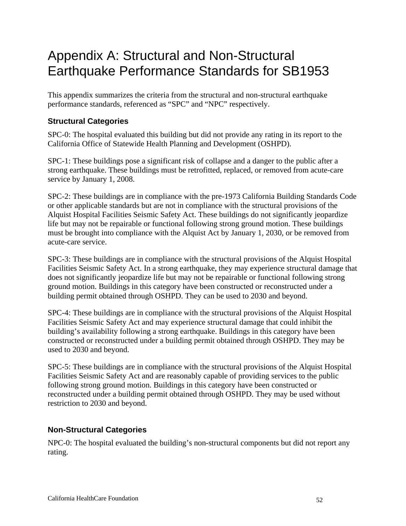## Appendix A: Structural and Non-Structural Earthquake Performance Standards for SB1953

This appendix summarizes the criteria from the structural and non-structural earthquake performance standards, referenced as "SPC" and "NPC" respectively.

### **Structural Categories**

SPC-0: The hospital evaluated this building but did not provide any rating in its report to the California Office of Statewide Health Planning and Development (OSHPD).

SPC-1: These buildings pose a significant risk of collapse and a danger to the public after a strong earthquake. These buildings must be retrofitted, replaced, or removed from acute-care service by January 1, 2008.

SPC-2: These buildings are in compliance with the pre-1973 California Building Standards Code or other applicable standards but are not in compliance with the structural provisions of the Alquist Hospital Facilities Seismic Safety Act. These buildings do not significantly jeopardize life but may not be repairable or functional following strong ground motion. These buildings must be brought into compliance with the Alquist Act by January 1, 2030, or be removed from acute-care service.

SPC-3: These buildings are in compliance with the structural provisions of the Alquist Hospital Facilities Seismic Safety Act. In a strong earthquake, they may experience structural damage that does not significantly jeopardize life but may not be repairable or functional following strong ground motion. Buildings in this category have been constructed or reconstructed under a building permit obtained through OSHPD. They can be used to 2030 and beyond.

SPC-4: These buildings are in compliance with the structural provisions of the Alquist Hospital Facilities Seismic Safety Act and may experience structural damage that could inhibit the building's availability following a strong earthquake. Buildings in this category have been constructed or reconstructed under a building permit obtained through OSHPD. They may be used to 2030 and beyond.

SPC-5: These buildings are in compliance with the structural provisions of the Alquist Hospital Facilities Seismic Safety Act and are reasonably capable of providing services to the public following strong ground motion. Buildings in this category have been constructed or reconstructed under a building permit obtained through OSHPD. They may be used without restriction to 2030 and beyond.

### **Non-Structural Categories**

NPC-0: The hospital evaluated the building's non-structural components but did not report any rating.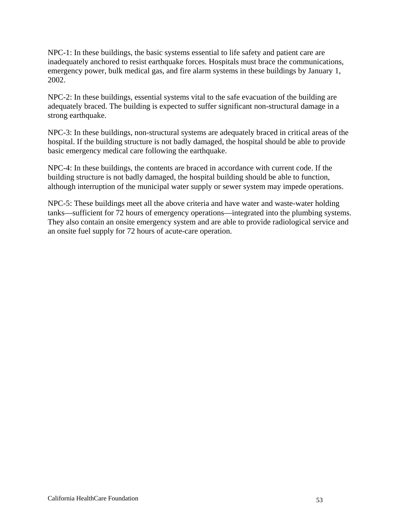NPC-1: In these buildings, the basic systems essential to life safety and patient care are inadequately anchored to resist earthquake forces. Hospitals must brace the communications, emergency power, bulk medical gas, and fire alarm systems in these buildings by January 1, 2002.

NPC-2: In these buildings, essential systems vital to the safe evacuation of the building are adequately braced. The building is expected to suffer significant non-structural damage in a strong earthquake.

NPC-3: In these buildings, non-structural systems are adequately braced in critical areas of the hospital. If the building structure is not badly damaged, the hospital should be able to provide basic emergency medical care following the earthquake.

NPC-4: In these buildings, the contents are braced in accordance with current code. If the building structure is not badly damaged, the hospital building should be able to function, although interruption of the municipal water supply or sewer system may impede operations.

NPC-5: These buildings meet all the above criteria and have water and waste-water holding tanks—sufficient for 72 hours of emergency operations—integrated into the plumbing systems. They also contain an onsite emergency system and are able to provide radiological service and an onsite fuel supply for 72 hours of acute-care operation.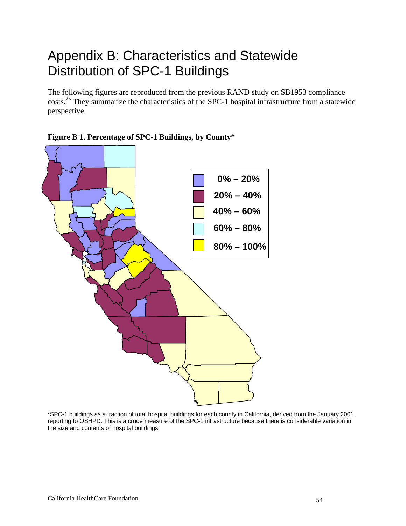## Appendix B: Characteristics and Statewide Distribution of SPC-1 Buildings

The following figures are reproduced from the previous RAND study on SB1953 compliance costs.<sup>25</sup> They summarize the characteristics of the SPC-1 hospital infrastructure from a statewide perspective.



### **Figure B 1. Percentage of SPC-1 Buildings, by County\***

\*SPC-1 buildings as a fraction of total hospital buildings for each county in California, derived from the January 2001 reporting to OSHPD. This is a crude measure of the SPC-1 infrastructure because there is considerable variation in the size and contents of hospital buildings.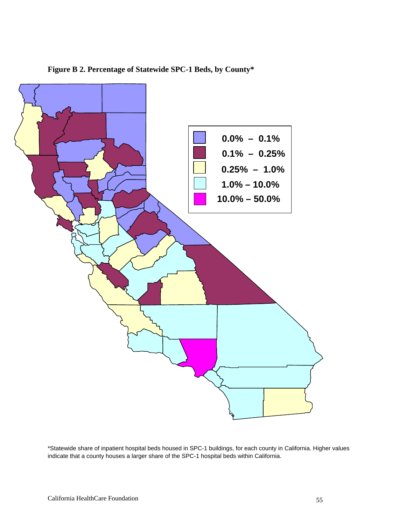

**Figure B 2. Percentage of Statewide SPC-1 Beds, by County\*** 

\*Statewide share of inpatient hospital beds housed in SPC-1 buildings, for each county in California. Higher values indicate that a county houses a larger share of the SPC-1 hospital beds within California.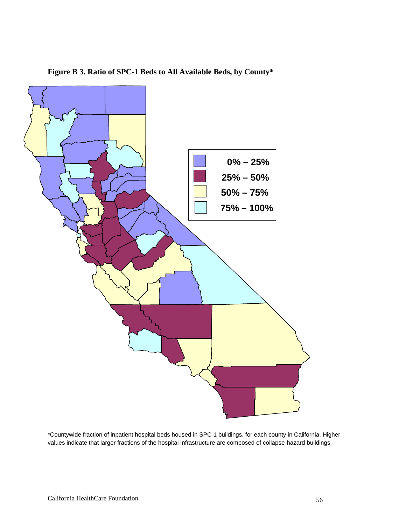

**Figure B 3. Ratio of SPC-1 Beds to All Available Beds, by County\*** 

\*Countywide fraction of inpatient hospital beds housed in SPC-1 buildings, for each county in California. Higher values indicate that larger fractions of the hospital infrastructure are composed of collapse-hazard buildings.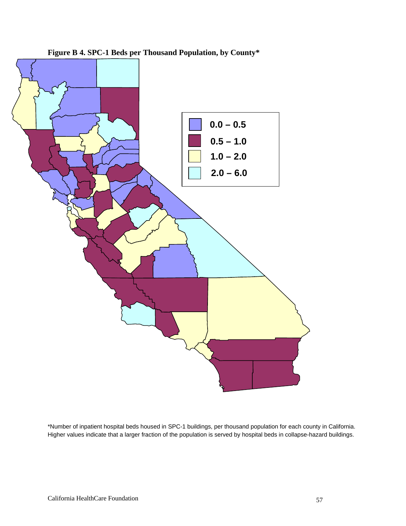

**Figure B 4. SPC-1 Beds per Thousand Population, by County\*** 

\*Number of inpatient hospital beds housed in SPC-1 buildings, per thousand population for each county in California. Higher values indicate that a larger fraction of the population is served by hospital beds in collapse-hazard buildings.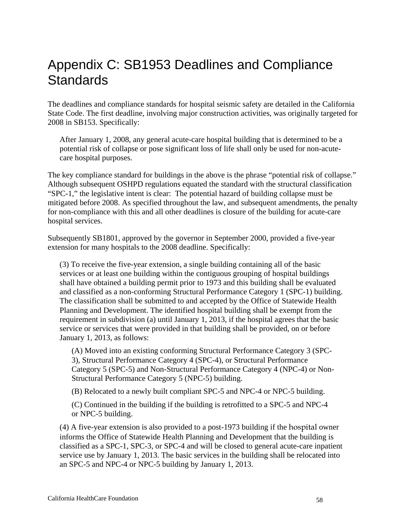## Appendix C: SB1953 Deadlines and Compliance **Standards**

The deadlines and compliance standards for hospital seismic safety are detailed in the California State Code. The first deadline, involving major construction activities, was originally targeted for 2008 in SB153. Specifically:

After January 1, 2008, any general acute-care hospital building that is determined to be a potential risk of collapse or pose significant loss of life shall only be used for non-acutecare hospital purposes.

The key compliance standard for buildings in the above is the phrase "potential risk of collapse." Although subsequent OSHPD regulations equated the standard with the structural classification "SPC-1," the legislative intent is clear: The potential hazard of building collapse must be mitigated before 2008. As specified throughout the law, and subsequent amendments, the penalty for non-compliance with this and all other deadlines is closure of the building for acute-care hospital services.

Subsequently SB1801, approved by the governor in September 2000, provided a five-year extension for many hospitals to the 2008 deadline. Specifically:

(3) To receive the five-year extension, a single building containing all of the basic services or at least one building within the contiguous grouping of hospital buildings shall have obtained a building permit prior to 1973 and this building shall be evaluated and classified as a non-conforming Structural Performance Category 1 (SPC-1) building. The classification shall be submitted to and accepted by the Office of Statewide Health Planning and Development. The identified hospital building shall be exempt from the requirement in subdivision (a) until January 1, 2013, if the hospital agrees that the basic service or services that were provided in that building shall be provided, on or before January 1, 2013, as follows:

(A) Moved into an existing conforming Structural Performance Category 3 (SPC-3), Structural Performance Category 4 (SPC-4), or Structural Performance Category 5 (SPC-5) and Non-Structural Performance Category 4 (NPC-4) or Non-Structural Performance Category 5 (NPC-5) building.

(B) Relocated to a newly built compliant SPC-5 and NPC-4 or NPC-5 building.

(C) Continued in the building if the building is retrofitted to a SPC-5 and NPC-4 or NPC-5 building.

(4) A five-year extension is also provided to a post-1973 building if the hospital owner informs the Office of Statewide Health Planning and Development that the building is classified as a SPC-1, SPC-3, or SPC-4 and will be closed to general acute-care inpatient service use by January 1, 2013. The basic services in the building shall be relocated into an SPC-5 and NPC-4 or NPC-5 building by January 1, 2013.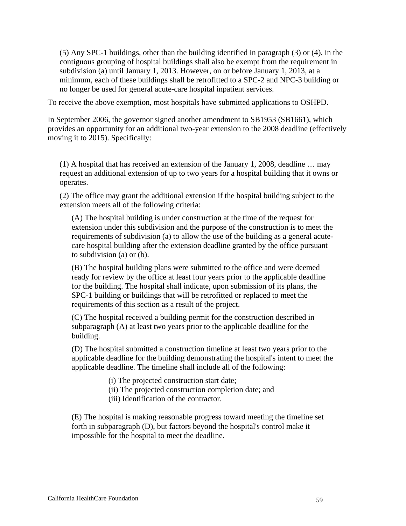(5) Any SPC-1 buildings, other than the building identified in paragraph (3) or (4), in the contiguous grouping of hospital buildings shall also be exempt from the requirement in subdivision (a) until January 1, 2013. However, on or before January 1, 2013, at a minimum, each of these buildings shall be retrofitted to a SPC-2 and NPC-3 building or no longer be used for general acute-care hospital inpatient services.

To receive the above exemption, most hospitals have submitted applications to OSHPD.

In September 2006, the governor signed another amendment to SB1953 (SB1661), which provides an opportunity for an additional two-year extension to the 2008 deadline (effectively moving it to 2015). Specifically:

(1) A hospital that has received an extension of the January 1, 2008, deadline … may request an additional extension of up to two years for a hospital building that it owns or operates.

(2) The office may grant the additional extension if the hospital building subject to the extension meets all of the following criteria:

(A) The hospital building is under construction at the time of the request for extension under this subdivision and the purpose of the construction is to meet the requirements of subdivision (a) to allow the use of the building as a general acutecare hospital building after the extension deadline granted by the office pursuant to subdivision (a) or (b).

(B) The hospital building plans were submitted to the office and were deemed ready for review by the office at least four years prior to the applicable deadline for the building. The hospital shall indicate, upon submission of its plans, the SPC-1 building or buildings that will be retrofitted or replaced to meet the requirements of this section as a result of the project.

(C) The hospital received a building permit for the construction described in subparagraph (A) at least two years prior to the applicable deadline for the building.

(D) The hospital submitted a construction timeline at least two years prior to the applicable deadline for the building demonstrating the hospital's intent to meet the applicable deadline. The timeline shall include all of the following:

- (i) The projected construction start date;
- (ii) The projected construction completion date; and
- (iii) Identification of the contractor.

(E) The hospital is making reasonable progress toward meeting the timeline set forth in subparagraph (D), but factors beyond the hospital's control make it impossible for the hospital to meet the deadline.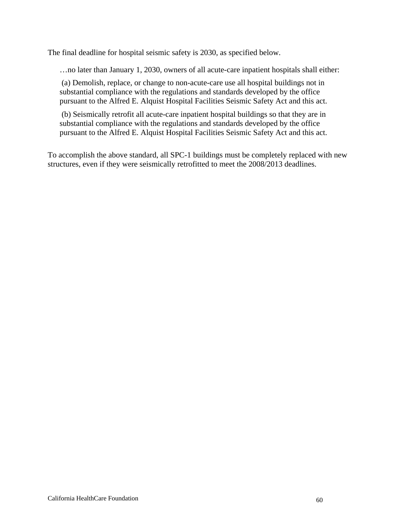The final deadline for hospital seismic safety is 2030, as specified below.

…no later than January 1, 2030, owners of all acute-care inpatient hospitals shall either:

 (a) Demolish, replace, or change to non-acute-care use all hospital buildings not in substantial compliance with the regulations and standards developed by the office pursuant to the Alfred E. Alquist Hospital Facilities Seismic Safety Act and this act.

 (b) Seismically retrofit all acute-care inpatient hospital buildings so that they are in substantial compliance with the regulations and standards developed by the office pursuant to the Alfred E. Alquist Hospital Facilities Seismic Safety Act and this act.

To accomplish the above standard, all SPC-1 buildings must be completely replaced with new structures, even if they were seismically retrofitted to meet the 2008/2013 deadlines.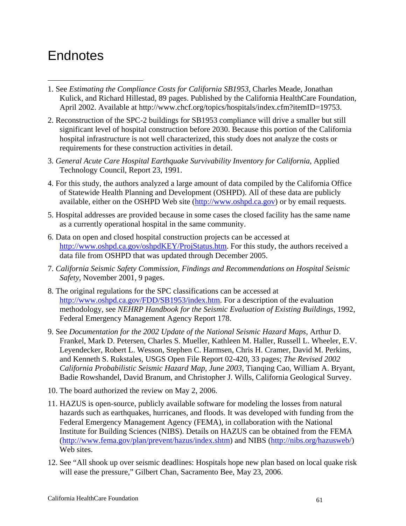### **Endnotes**

 $\overline{a}$ 

- 1. See *Estimating the Compliance Costs for California SB1953,* Charles Meade, Jonathan Kulick, and Richard Hillestad, 89 pages. Published by the California HealthCare Foundation, April 2002. Available at http://www.chcf.org/topics/hospitals/index.cfm?itemID=19753.
- 2. Reconstruction of the SPC-2 buildings for SB1953 compliance will drive a smaller but still significant level of hospital construction before 2030. Because this portion of the California hospital infrastructure is not well characterized, this study does not analyze the costs or requirements for these construction activities in detail.
- 3. *General Acute Care Hospital Earthquake Survivability Inventory for California*, Applied Technology Council, Report 23, 1991.
- 4. For this study, the authors analyzed a large amount of data compiled by the California Office of Statewide Health Planning and Development (OSHPD). All of these data are publicly available, either on the OSHPD Web site (http://www.oshpd.ca.gov) or by email requests.
- 5. Hospital addresses are provided because in some cases the closed facility has the same name as a currently operational hospital in the same community.
- 6. Data on open and closed hospital construction projects can be accessed at http://www.oshpd.ca.gov/oshpdKEY/ProjStatus.htm. For this study, the authors received a data file from OSHPD that was updated through December 2005.
- 7. *California Seismic Safety Commission, Findings and Recommendations on Hospital Seismic Safety*, November 2001, 9 pages.
- 8. The original regulations for the SPC classifications can be accessed at http://www.oshpd.ca.gov/FDD/SB1953/index.htm. For a description of the evaluation methodology, see *NEHRP Handbook for the Seismic Evaluation of Existing Buildings*, 1992, Federal Emergency Management Agency Report 178.
- 9. See *Documentation for the 2002 Update of the National Seismic Hazard Maps*, Arthur D. Frankel, Mark D. Petersen, Charles S. Mueller, Kathleen M. Haller, Russell L. Wheeler, E.V. Leyendecker, Robert L. Wesson, Stephen C. Harmsen, Chris H. Cramer, David M. Perkins, and Kenneth S. Rukstales, USGS Open File Report 02-420, 33 pages; *The Revised 2002 California Probabilistic Seismic Hazard Map, June 2003*, Tianqing Cao, William A. Bryant, Badie Rowshandel, David Branum, and Christopher J. Wills, California Geological Survey.
- 10. The board authorized the review on May 2, 2006.
- 11. HAZUS is open-source, publicly available software for modeling the losses from natural hazards such as earthquakes, hurricanes, and floods. It was developed with funding from the Federal Emergency Management Agency (FEMA), in collaboration with the National Institute for Building Sciences (NIBS). Details on HAZUS can be obtained from the FEMA (http://www.fema.gov/plan/prevent/hazus/index.shtm) and NIBS (http://nibs.org/hazusweb/) Web sites.
- 12. See "All shook up over seismic deadlines: Hospitals hope new plan based on local quake risk will ease the pressure," Gilbert Chan, Sacramento Bee, May 23, 2006.